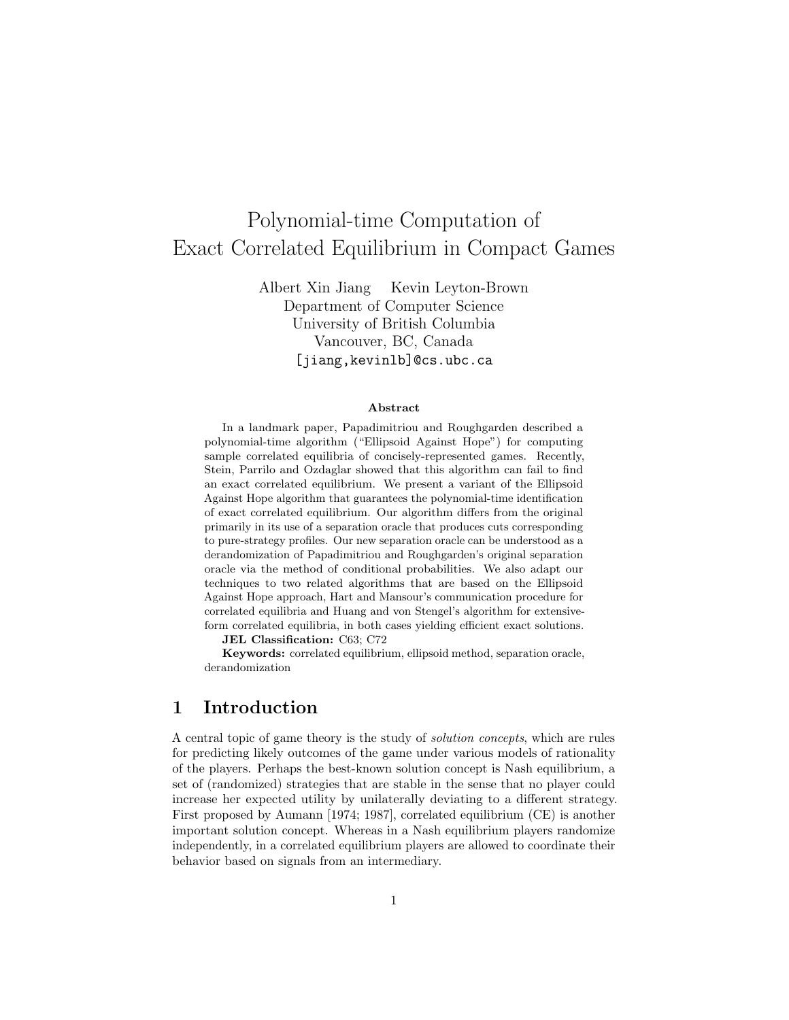# Polynomial-time Computation of Exact Correlated Equilibrium in Compact Games

Albert Xin Jiang Kevin Leyton-Brown Department of Computer Science University of British Columbia Vancouver, BC, Canada [jiang, kevinlb]@cs.ubc.ca

#### Abstract

In a landmark paper, Papadimitriou and Roughgarden described a polynomial-time algorithm ("Ellipsoid Against Hope") for computing sample correlated equilibria of concisely-represented games. Recently, Stein, Parrilo and Ozdaglar showed that this algorithm can fail to find an exact correlated equilibrium. We present a variant of the Ellipsoid Against Hope algorithm that guarantees the polynomial-time identification of exact correlated equilibrium. Our algorithm differs from the original primarily in its use of a separation oracle that produces cuts corresponding to pure-strategy profiles. Our new separation oracle can be understood as a derandomization of Papadimitriou and Roughgarden's original separation oracle via the method of conditional probabilities. We also adapt our techniques to two related algorithms that are based on the Ellipsoid Against Hope approach, Hart and Mansour's communication procedure for correlated equilibria and Huang and von Stengel's algorithm for extensiveform correlated equilibria, in both cases yielding efficient exact solutions.

JEL Classification: C63; C72

Keywords: correlated equilibrium, ellipsoid method, separation oracle, derandomization

### 1 Introduction

A central topic of game theory is the study of solution concepts, which are rules for predicting likely outcomes of the game under various models of rationality of the players. Perhaps the best-known solution concept is Nash equilibrium, a set of (randomized) strategies that are stable in the sense that no player could increase her expected utility by unilaterally deviating to a different strategy. First proposed by Aumann [1974; 1987], correlated equilibrium (CE) is another important solution concept. Whereas in a Nash equilibrium players randomize independently, in a correlated equilibrium players are allowed to coordinate their behavior based on signals from an intermediary.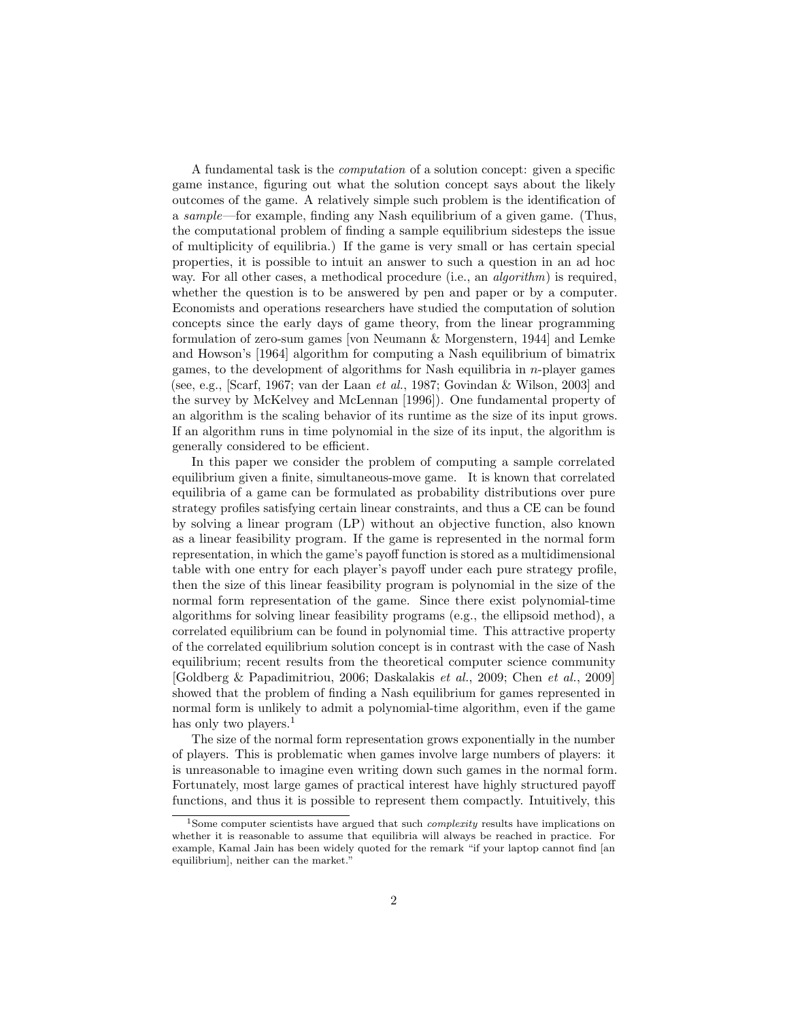A fundamental task is the computation of a solution concept: given a specific game instance, figuring out what the solution concept says about the likely outcomes of the game. A relatively simple such problem is the identification of a sample—for example, finding any Nash equilibrium of a given game. (Thus, the computational problem of finding a sample equilibrium sidesteps the issue of multiplicity of equilibria.) If the game is very small or has certain special properties, it is possible to intuit an answer to such a question in an ad hoc way. For all other cases, a methodical procedure (i.e., an *algorithm*) is required, whether the question is to be answered by pen and paper or by a computer. Economists and operations researchers have studied the computation of solution concepts since the early days of game theory, from the linear programming formulation of zero-sum games [von Neumann & Morgenstern, 1944] and Lemke and Howson's [1964] algorithm for computing a Nash equilibrium of bimatrix games, to the development of algorithms for Nash equilibria in  $n$ -player games (see, e.g., [Scarf, 1967; van der Laan et al., 1987; Govindan & Wilson, 2003] and the survey by McKelvey and McLennan [1996]). One fundamental property of an algorithm is the scaling behavior of its runtime as the size of its input grows. If an algorithm runs in time polynomial in the size of its input, the algorithm is generally considered to be efficient.

In this paper we consider the problem of computing a sample correlated equilibrium given a finite, simultaneous-move game. It is known that correlated equilibria of a game can be formulated as probability distributions over pure strategy profiles satisfying certain linear constraints, and thus a CE can be found by solving a linear program (LP) without an objective function, also known as a linear feasibility program. If the game is represented in the normal form representation, in which the game's payoff function is stored as a multidimensional table with one entry for each player's payoff under each pure strategy profile, then the size of this linear feasibility program is polynomial in the size of the normal form representation of the game. Since there exist polynomial-time algorithms for solving linear feasibility programs (e.g., the ellipsoid method), a correlated equilibrium can be found in polynomial time. This attractive property of the correlated equilibrium solution concept is in contrast with the case of Nash equilibrium; recent results from the theoretical computer science community [Goldberg & Papadimitriou, 2006; Daskalakis et al., 2009; Chen et al., 2009] showed that the problem of finding a Nash equilibrium for games represented in normal form is unlikely to admit a polynomial-time algorithm, even if the game has only two players. $<sup>1</sup>$  $<sup>1</sup>$  $<sup>1</sup>$ </sup>

The size of the normal form representation grows exponentially in the number of players. This is problematic when games involve large numbers of players: it is unreasonable to imagine even writing down such games in the normal form. Fortunately, most large games of practical interest have highly structured payoff functions, and thus it is possible to represent them compactly. Intuitively, this

<span id="page-1-0"></span><sup>&</sup>lt;sup>1</sup>Some computer scientists have argued that such *complexity* results have implications on whether it is reasonable to assume that equilibria will always be reached in practice. For example, Kamal Jain has been widely quoted for the remark "if your laptop cannot find [an equilibrium], neither can the market."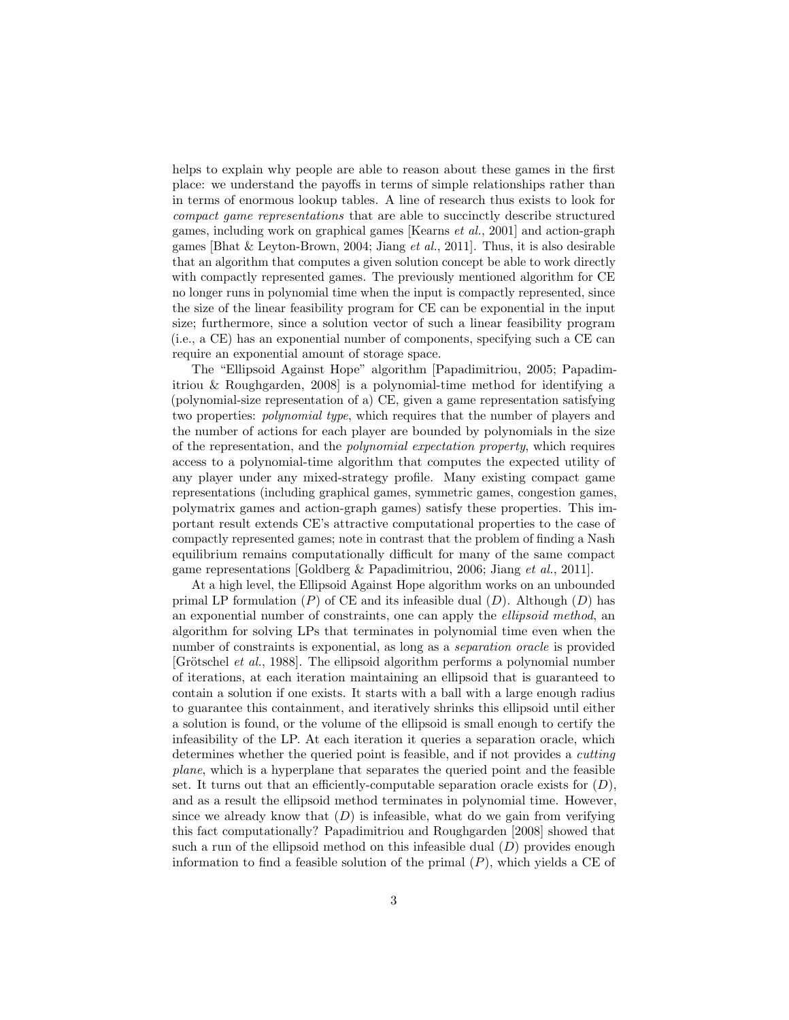helps to explain why people are able to reason about these games in the first place: we understand the payoffs in terms of simple relationships rather than in terms of enormous lookup tables. A line of research thus exists to look for compact game representations that are able to succinctly describe structured games, including work on graphical games [Kearns et al., 2001] and action-graph games [Bhat  $&$  Leyton-Brown, 2004; Jiang *et al.*, 2011]. Thus, it is also desirable that an algorithm that computes a given solution concept be able to work directly with compactly represented games. The previously mentioned algorithm for CE no longer runs in polynomial time when the input is compactly represented, since the size of the linear feasibility program for CE can be exponential in the input size; furthermore, since a solution vector of such a linear feasibility program (i.e., a CE) has an exponential number of components, specifying such a CE can require an exponential amount of storage space.

The "Ellipsoid Against Hope" algorithm [Papadimitriou, 2005; Papadimitriou & Roughgarden, 2008] is a polynomial-time method for identifying a (polynomial-size representation of a) CE, given a game representation satisfying two properties: polynomial type, which requires that the number of players and the number of actions for each player are bounded by polynomials in the size of the representation, and the polynomial expectation property, which requires access to a polynomial-time algorithm that computes the expected utility of any player under any mixed-strategy profile. Many existing compact game representations (including graphical games, symmetric games, congestion games, polymatrix games and action-graph games) satisfy these properties. This important result extends CE's attractive computational properties to the case of compactly represented games; note in contrast that the problem of finding a Nash equilibrium remains computationally difficult for many of the same compact game representations [Goldberg & Papadimitriou, 2006; Jiang et al., 2011].

At a high level, the Ellipsoid Against Hope algorithm works on an unbounded primal L[P](#page-8-0) formulation  $(P)$  of CE and its infeasible dual  $(D)$  $(D)$  $(D)$ . Although  $(D)$  has an exponential number of constraints, one can apply the ellipsoid method, an algorithm for solving LPs that terminates in polynomial time even when the number of constraints is exponential, as long as a separation oracle is provided [Grötschel *et al.*, 1988]. The ellipsoid algorithm performs a polynomial number of iterations, at each iteration maintaining an ellipsoid that is guaranteed to contain a solution if one exists. It starts with a ball with a large enough radius to guarantee this containment, and iteratively shrinks this ellipsoid until either a solution is found, or the volume of the ellipsoid is small enough to certify the infeasibility of the LP. At each iteration it queries a separation oracle, which determines whether the queried point is feasible, and if not provides a cutting plane, which is a hyperplane that separates the queried point and the feasible set. It turns out that an efficiently-computable separation oracle exists for  $(D)$  $(D)$  $(D)$ , and as a result the ellipsoid method terminates in polynomial time. However, since we already know that  $(D)$  $(D)$  $(D)$  is infeasible, what do we gain from verifying this fact computationally? Papadimitriou and Roughgarden [2008] showed that such a run of the ellipsoid method on this infeasible dual  $(D)$  $(D)$  $(D)$  provides enough information to find a feasible solution of the primal  $(P)$  $(P)$  $(P)$ , which yields a CE of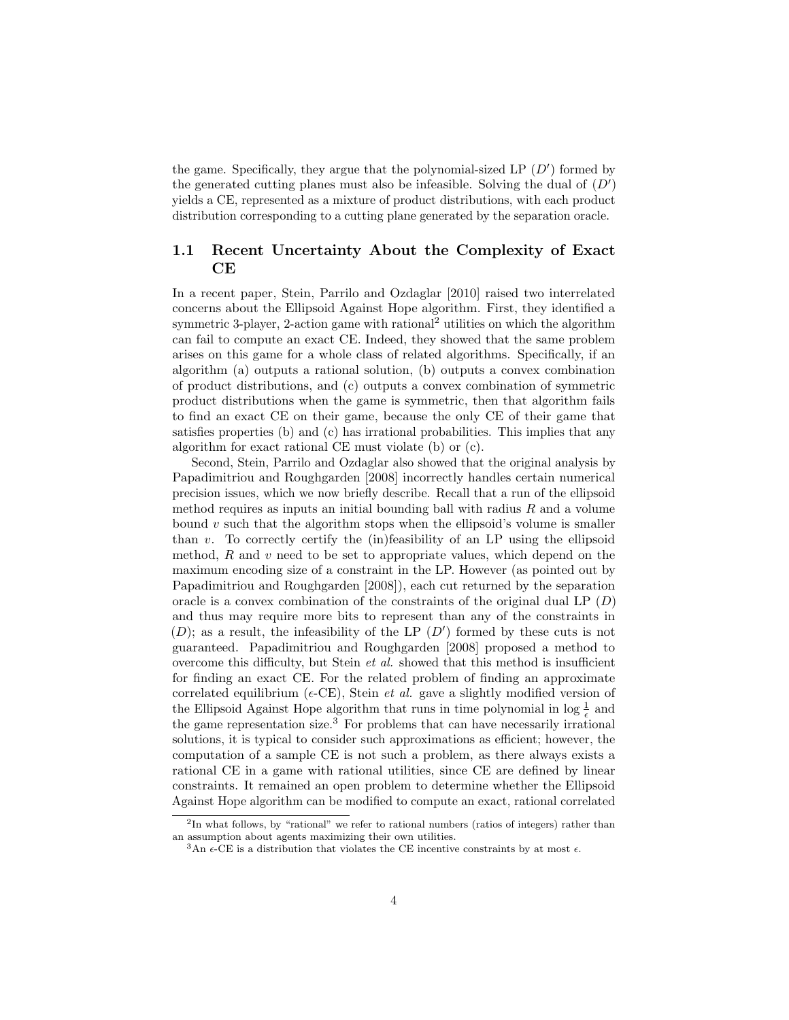the game. Specifically, they argue that the polynomial-sized LP  $(D')$  $(D')$  $(D')$  formed by the generated cutting planes must also be infeasible. Solving the dual of  $(D')$  $(D')$  $(D')$ yields a CE, represented as a mixture of product distributions, with each product distribution corresponding to a cutting plane generated by the separation oracle.

#### 1.1 Recent Uncertainty About the Complexity of Exact **CE**

In a recent paper, Stein, Parrilo and Ozdaglar [2010] raised two interrelated concerns about the Ellipsoid Against Hope algorithm. First, they identified a symmetric 3-player, [2](#page-3-0)-action game with rational<sup>2</sup> utilities on which the algorithm can fail to compute an exact CE. Indeed, they showed that the same problem arises on this game for a whole class of related algorithms. Specifically, if an algorithm (a) outputs a rational solution, (b) outputs a convex combination of product distributions, and (c) outputs a convex combination of symmetric product distributions when the game is symmetric, then that algorithm fails to find an exact CE on their game, because the only CE of their game that satisfies properties (b) and (c) has irrational probabilities. This implies that any algorithm for exact rational CE must violate (b) or (c).

Second, Stein, Parrilo and Ozdaglar also showed that the original analysis by Papadimitriou and Roughgarden [2008] incorrectly handles certain numerical precision issues, which we now briefly describe. Recall that a run of the ellipsoid method requires as inputs an initial bounding ball with radius  $R$  and a volume bound  $v$  such that the algorithm stops when the ellipsoid's volume is smaller than v. To correctly certify the  $\pi$  (in)feasibility of an LP using the ellipsoid method,  $R$  and  $v$  need to be set to appropriate values, which depend on the maximum encoding size of a constraint in the LP. However (as pointed out by Papadimitriou and Roughgarden [2008]), each cut returned by the separation oracle is a convex combination of the constraints of the original dual LP  $(D)$  $(D)$  $(D)$ and thus may require more bits to represent than any of the constraints in  $(D)$  $(D)$  $(D)$ ; as a result, the infeasibility of the LP  $(D')$  formed by these cuts is not guaranteed. Papadimitriou and Roughgarden [2008] proposed a method to overcome this difficulty, but Stein et al. showed that this method is insufficient for finding an exact CE. For the related problem of finding an approximate correlated equilibrium ( $\epsilon$ -CE), Stein *et al.* gave a slightly modified version of the Ellipsoid Against Hope algorithm that runs in time polynomial in  $\log \frac{1}{\epsilon}$  and the game representation size.[3](#page-3-1) For problems that can have necessarily irrational solutions, it is typical to consider such approximations as efficient; however, the computation of a sample CE is not such a problem, as there always exists a rational CE in a game with rational utilities, since CE are defined by linear constraints. It remained an open problem to determine whether the Ellipsoid Against Hope algorithm can be modified to compute an exact, rational correlated

<span id="page-3-0"></span> ${}^{2}$ In what follows, by "rational" we refer to rational numbers (ratios of integers) rather than an assumption about agents maximizing their own utilities.

<span id="page-3-1"></span> $^3 \text{An }\epsilon\text{-CE}$  is a distribution that violates the CE incentive constraints by at most  $\epsilon.$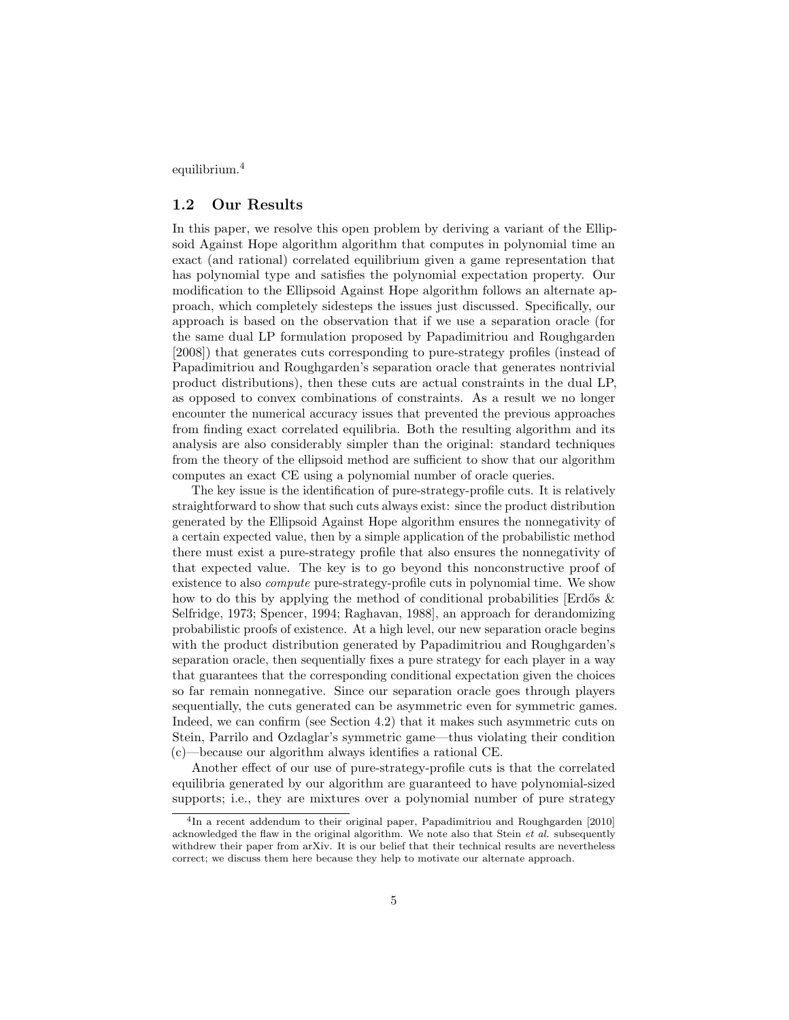equilibrium.[4](#page-4-0)

#### 1.2 Our Results

In this paper, we resolve this open problem by deriving a variant of the Ellipsoid Against Hope algorithm algorithm that computes in polynomial time an exact (and rational) correlated equilibrium given a game representation that has polynomial type and satisfies the polynomial expectation property. Our modification to the Ellipsoid Against Hope algorithm follows an alternate approach, which completely sidesteps the issues just discussed. Specifically, our approach is based on the observation that if we use a separation oracle (for the same dual LP formulation proposed by Papadimitriou and Roughgarden [2008]) that generates cuts corresponding to pure-strategy profiles (instead of Papadimitriou and Roughgarden's separation oracle that generates nontrivial product distributions), then these cuts are actual constraints in the dual LP, as opposed to convex combinations of constraints. As a result we no longer encounter the numerical accuracy issues that prevented the previous approaches from finding exact correlated equilibria. Both the resulting algorithm and its analysis are also considerably simpler than the original: standard techniques from the theory of the ellipsoid method are sufficient to show that our algorithm computes an exact CE using a polynomial number of oracle queries.

The key issue is the identification of pure-strategy-profile cuts. It is relatively straightforward to show that such cuts always exist: since the product distribution generated by the Ellipsoid Against Hope algorithm ensures the nonnegativity of a certain expected value, then by a simple application of the probabilistic method there must exist a pure-strategy profile that also ensures the nonnegativity of that expected value. The key is to go beyond this nonconstructive proof of existence to also compute pure-strategy-profile cuts in polynomial time. We show how to do this by applying the method of conditional probabilities [Erdős  $\&$ Selfridge, 1973; Spencer, 1994; Raghavan, 1988], an approach for derandomizing probabilistic proofs of existence. At a high level, our new separation oracle begins with the product distribution generated by Papadimitriou and Roughgarden's separation oracle, then sequentially fixes a pure strategy for each player in a way that guarantees that the corresponding conditional expectation given the choices so far remain nonnegative. Since our separation oracle goes through players sequentially, the cuts generated can be asymmetric even for symmetric games. Indeed, we can confirm (see Section [4.2\)](#page-14-0) that it makes such asymmetric cuts on Stein, Parrilo and Ozdaglar's symmetric game—thus violating their condition (c)—because our algorithm always identifies a rational CE.

Another effect of our use of pure-strategy-profile cuts is that the correlated equilibria generated by our algorithm are guaranteed to have polynomial-sized supports; i.e., they are mixtures over a polynomial number of pure strategy

<span id="page-4-0"></span><sup>4</sup> In a recent addendum to their original paper, Papadimitriou and Roughgarden [2010] acknowledged the flaw in the original algorithm. We note also that Stein  $et$  al. subsequently withdrew their paper from arXiv. It is our belief that their technical results are nevertheless correct; we discuss them here because they help to motivate our alternate approach.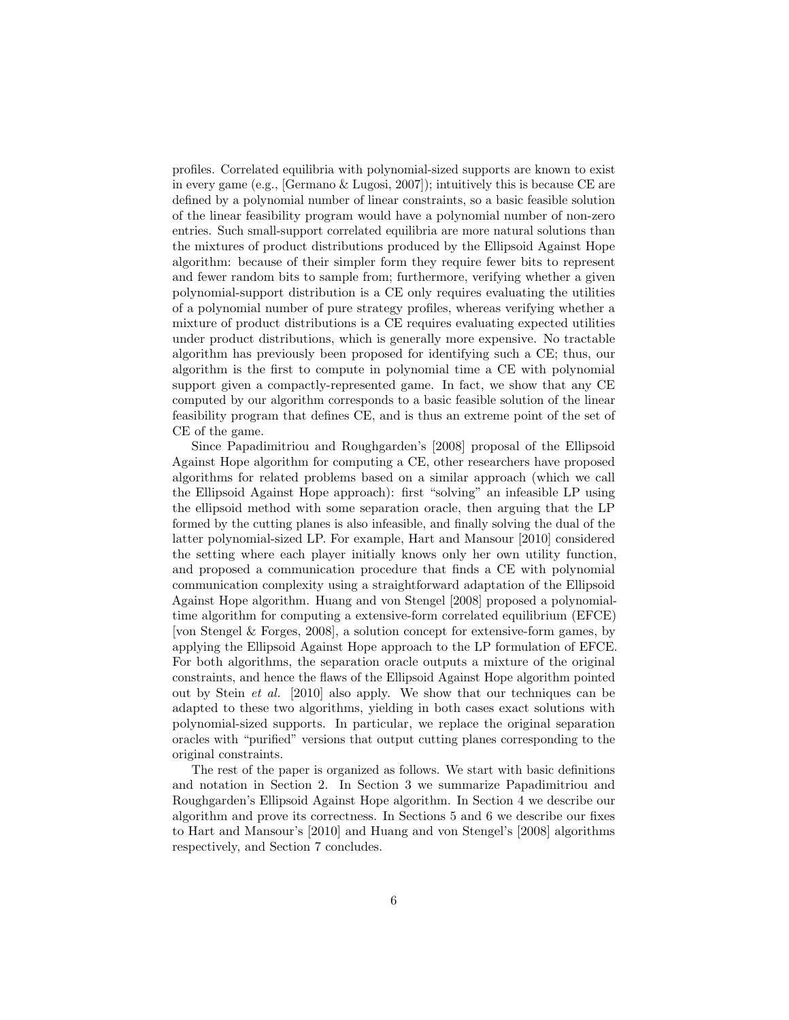profiles. Correlated equilibria with polynomial-sized supports are known to exist in every game (e.g., [Germano & Lugosi, 2007]); intuitively this is because CE are defined by a polynomial number of linear constraints, so a basic feasible solution of the linear feasibility program would have a polynomial number of non-zero entries. Such small-support correlated equilibria are more natural solutions than the mixtures of product distributions produced by the Ellipsoid Against Hope algorithm: because of their simpler form they require fewer bits to represent and fewer random bits to sample from; furthermore, verifying whether a given polynomial-support distribution is a CE only requires evaluating the utilities of a polynomial number of pure strategy profiles, whereas verifying whether a mixture of product distributions is a CE requires evaluating expected utilities under product distributions, which is generally more expensive. No tractable algorithm has previously been proposed for identifying such a CE; thus, our algorithm is the first to compute in polynomial time a CE with polynomial support given a compactly-represented game. In fact, we show that any CE computed by our algorithm corresponds to a basic feasible solution of the linear feasibility program that defines CE, and is thus an extreme point of the set of CE of the game.

Since Papadimitriou and Roughgarden's [2008] proposal of the Ellipsoid Against Hope algorithm for computing a CE, other researchers have proposed algorithms for related problems based on a similar approach (which we call the Ellipsoid Against Hope approach): first "solving" an infeasible LP using the ellipsoid method with some separation oracle, then arguing that the LP formed by the cutting planes is also infeasible, and finally solving the dual of the latter polynomial-sized LP. For example, Hart and Mansour [2010] considered the setting where each player initially knows only her own utility function, and proposed a communication procedure that finds a CE with polynomial communication complexity using a straightforward adaptation of the Ellipsoid Against Hope algorithm. Huang and von Stengel [2008] proposed a polynomialtime algorithm for computing a extensive-form correlated equilibrium (EFCE) [von Stengel & Forges, 2008], a solution concept for extensive-form games, by applying the Ellipsoid Against Hope approach to the LP formulation of EFCE. For both algorithms, the separation oracle outputs a mixture of the original constraints, and hence the flaws of the Ellipsoid Against Hope algorithm pointed out by Stein et al. [2010] also apply. We show that our techniques can be adapted to these two algorithms, yielding in both cases exact solutions with polynomial-sized supports. In particular, we replace the original separation oracles with "purified" versions that output cutting planes corresponding to the original constraints.

The rest of the paper is organized as follows. We start with basic definitions and notation in Section [2.](#page-6-0) In Section [3](#page-8-0) we summarize Papadimitriou and Roughgarden's Ellipsoid Against Hope algorithm. In Section [4](#page-9-1) we describe our algorithm and prove its correctness. In Sections [5](#page-16-0) and [6](#page-17-0) we describe our fixes to Hart and Mansour's [2010] and Huang and von Stengel's [2008] algorithms respectively, and Section [7](#page-20-0) concludes.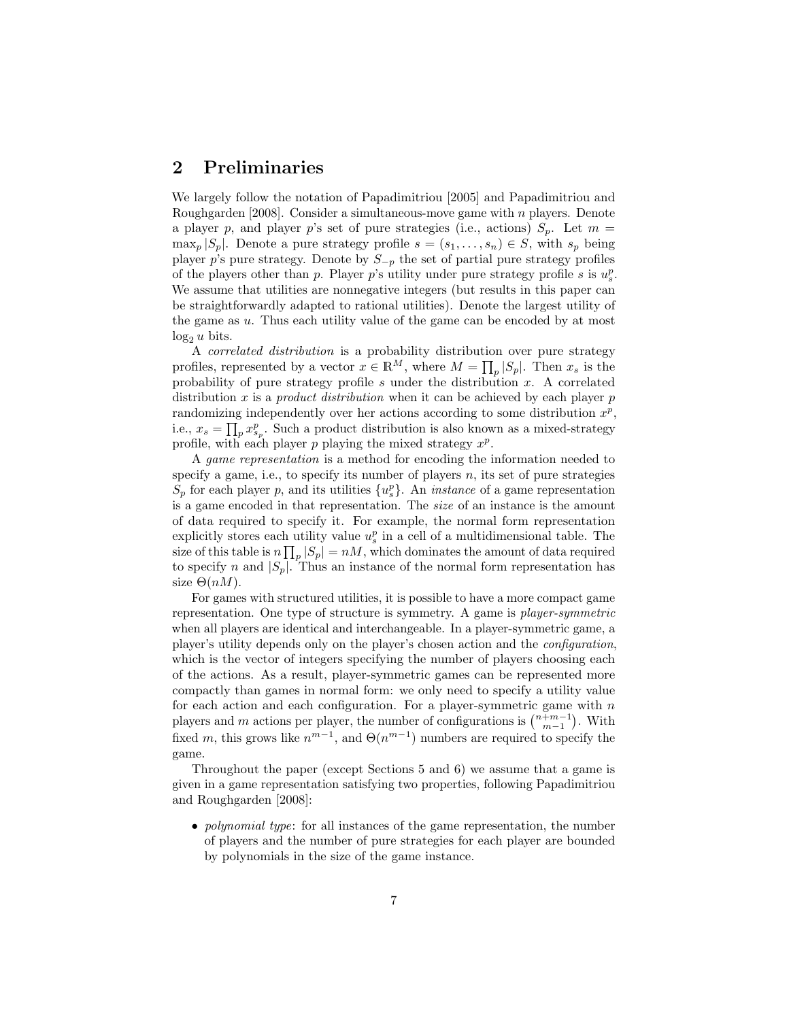### <span id="page-6-0"></span>2 Preliminaries

We largely follow the notation of Papadimitriou [2005] and Papadimitriou and Roughgarden [2008]. Consider a simultaneous-move game with  $n$  players. Denote a player p, and player p's set of pure strategies (i.e., actions)  $S_p$ . Let  $m =$ max<sub>p</sub>  $|S_p|$ . Denote a pure strategy profile  $s = (s_1, \ldots, s_n) \in S$ , with  $s_p$  being player p's pure strategy. Denote by  $S_{-p}$  the set of partial pure strategy profiles of the players other than p. Player p's utility under pure strategy profile s is  $u_s^p$ . We assume that utilities are nonnegative integers (but results in this paper can be straightforwardly adapted to rational utilities). Denote the largest utility of the game as u. Thus each utility value of the game can be encoded by at most  $\log_2 u$  bits.

A correlated distribution is a probability distribution over pure strategy profiles, represented by a vector  $x \in \mathbb{R}^M$ , where  $M = \prod_p |S_p|$ . Then  $x_s$  is the probability of pure strategy profile  $s$  under the distribution  $x$ . A correlated distribution x is a *product distribution* when it can be achieved by each player p randomizing independently over her actions according to some distribution  $x^p$ , i.e.,  $x_s = \prod_p x_{s_p}^p$ . Such a product distribution is also known as a mixed-strategy profile, with each player p playing the mixed strategy  $x^p$ .

A game representation is a method for encoding the information needed to specify a game, i.e., to specify its number of players  $n$ , its set of pure strategies  $S_p$  for each player p, and its utilities  $\{u_s^p\}$ . An *instance* of a game representation is a game encoded in that representation. The size of an instance is the amount of data required to specify it. For example, the normal form representation explicitly stores each utility value  $u_s^p$  in a cell of a multidimensional table. The size of this table is  $n \prod_{p} |S_p| = nM$ , which dominates the amount of data required to specify n and  $|S_p|$ . Thus an instance of the normal form representation has size  $\Theta(nM)$ .

For games with structured utilities, it is possible to have a more compact game representation. One type of structure is symmetry. A game is player-symmetric when all players are identical and interchangeable. In a player-symmetric game, a player's utility depends only on the player's chosen action and the configuration, which is the vector of integers specifying the number of players choosing each of the actions. As a result, player-symmetric games can be represented more compactly than games in normal form: we only need to specify a utility value for each action and each configuration. For a player-symmetric game with  $n$ players and m actions per player, the number of configurations is  $\binom{n+m-1}{m-1}$ . With fixed m, this grows like  $n^{m-1}$ , and  $\Theta(n^{m-1})$  numbers are required to specify the game.

Throughout the paper (except Sections [5](#page-16-0) and [6\)](#page-17-0) we assume that a game is given in a game representation satisfying two properties, following Papadimitriou and Roughgarden [2008]:

• *polynomial type:* for all instances of the game representation, the number of players and the number of pure strategies for each player are bounded by polynomials in the size of the game instance.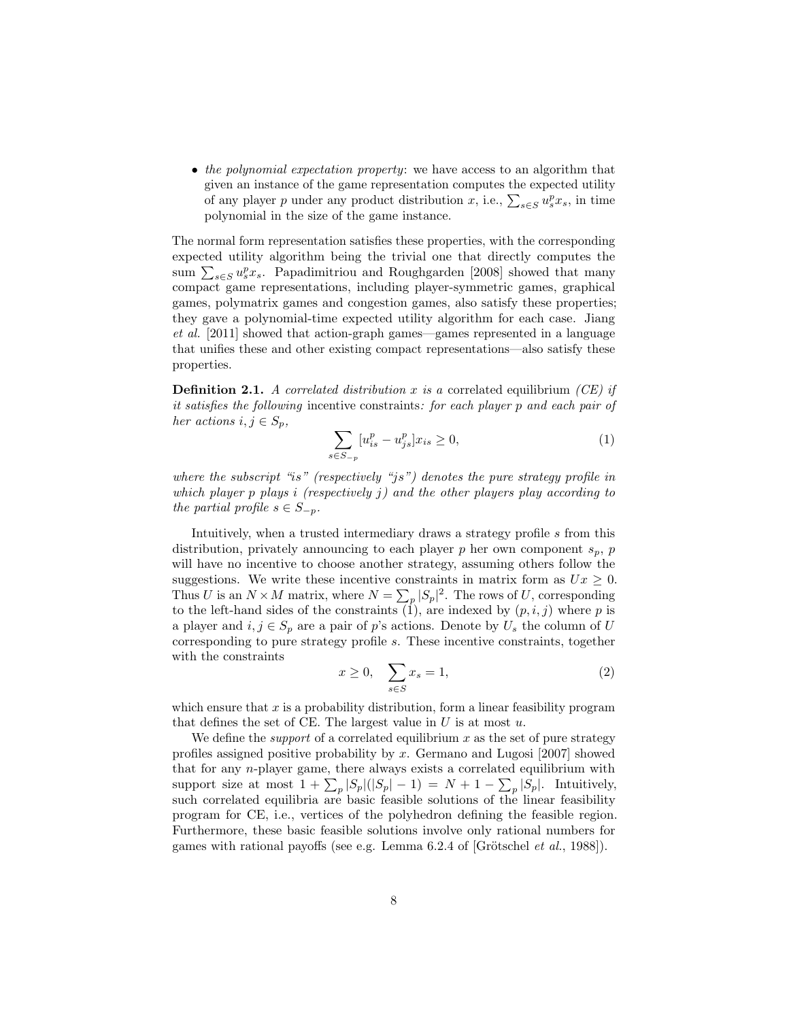• the polynomial expectation property: we have access to an algorithm that given an instance of the game representation computes the expected utility of any player p under any product distribution x, i.e.,  $\sum_{s \in S} u_s^p x_s$ , in time polynomial in the size of the game instance.

The normal form representation satisfies these properties, with the corresponding expected utility algorithm being the trivial one that directly computes the sum  $\sum_{s \in S} u_s^p x_s$ . Papadimitriou and Roughgarden [2008] showed that many compact game representations, including player-symmetric games, graphical games, polymatrix games and congestion games, also satisfy these properties; they gave a polynomial-time expected utility algorithm for each case. Jiang et al. [2011] showed that action-graph games—games represented in a language that unifies these and other existing compact representations—also satisfy these properties.

**Definition 2.1.** A correlated distribution x is a correlated equilibrium (CE) if it satisfies the following incentive constraints: for each player p and each pair of her actions  $i, j \in S_p$ ,

<span id="page-7-0"></span>
$$
\sum_{s \in S_{-p}} [u_{is}^p - u_{js}^p] x_{is} \ge 0,
$$
\n(1)

where the subscript "is" (respectively "js") denotes the pure strategy profile in which player p plays i (respectively  $i$ ) and the other players play according to the partial profile  $s \in S_{-p}$ .

Intuitively, when a trusted intermediary draws a strategy profile s from this distribution, privately announcing to each player  $p$  her own component  $s_p$ ,  $p$ will have no incentive to choose another strategy, assuming others follow the suggestions. We write these incentive constraints in matrix form as  $Ux \geq 0$ . Thus U is an  $N \times M$  matrix, where  $N = \sum_{p} |S_p|^2$ . The rows of U, corresponding to the left-hand sides of the constraints  $(t)$ , are indexed by  $(p, i, j)$  where p is a player and  $i, j \in S_p$  are a pair of p's actions. Denote by  $U_s$  the column of U corresponding to pure strategy profile s. These incentive constraints, together with the constraints

<span id="page-7-1"></span>
$$
x \ge 0, \quad \sum_{s \in S} x_s = 1,\tag{2}
$$

which ensure that  $x$  is a probability distribution, form a linear feasibility program that defines the set of CE. The largest value in  $U$  is at most  $u$ .

We define the *support* of a correlated equilibrium  $x$  as the set of pure strategy profiles assigned positive probability by x. Germano and Lugosi [2007] showed that for any n-player game, there always exists a correlated equilibrium with support size at most  $1 + \sum_{p} |S_p|(|S_p| - 1) = N + 1 - \sum_{p} |S_p|$ . Intuitively, such correlated equilibria are basic feasible solutions of the linear feasibility program for CE, i.e., vertices of the polyhedron defining the feasible region. Furthermore, these basic feasible solutions involve only rational numbers for games with rational payoffs (see e.g. Lemma 6.2.4 of [Grötschel *et al.*, 1988]).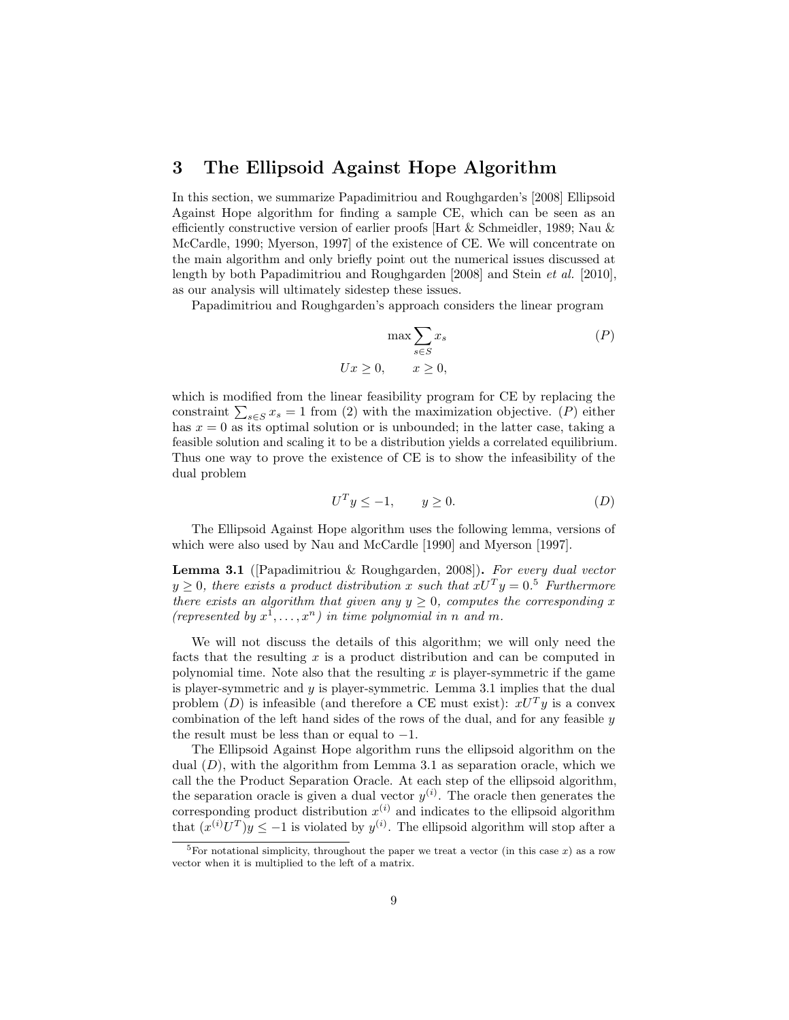#### <span id="page-8-0"></span>3 The Ellipsoid Against Hope Algorithm

In this section, we summarize Papadimitriou and Roughgarden's [2008] Ellipsoid Against Hope algorithm for finding a sample CE, which can be seen as an efficiently constructive version of earlier proofs [Hart & Schmeidler, 1989; Nau & McCardle, 1990; Myerson, 1997] of the existence of CE. We will concentrate on the main algorithm and only briefly point out the numerical issues discussed at length by both Papadimitriou and Roughgarden [2008] and Stein et al. [2010], as our analysis will ultimately sidestep these issues.

Papadimitriou and Roughgarden's approach considers the linear program

$$
\max \sum_{s \in S} x_s
$$
  
\n
$$
Ux \ge 0, \qquad x \ge 0,
$$
\n
$$
(P)
$$

which is modified from the linear feasibility program for CE by replacing the constraint  $\sum_{s \in S} x_s = 1$  from [\(2\)](#page-7-1) with the maximization objective. ([P](#page-8-0)) either has  $x = 0$  as its optimal solution or is unbounded; in the latter case, taking a feasible solution and scaling it to be a distribution yields a correlated equilibrium. Thus one way to prove the existence of CE is to show the infeasibility of the dual problem

$$
U^T y \le -1, \qquad y \ge 0. \tag{D}
$$

The Ellipsoid Against Hope algorithm uses the following lemma, versions of which were also used by Nau and McCardle [1990] and Myerson [1997].

<span id="page-8-2"></span>**Lemma 3.1** ([Papadimitriou & Roughgarden, 2008]). For every dual vector  $y \geq 0$ , there exists a product distribution x such that  $xU^{T}y = 0.5$  $xU^{T}y = 0.5$  Furthermore there exists an algorithm that given any  $y \geq 0$ , computes the corresponding x (represented by  $x^1, \ldots, x^n$ ) in time polynomial in n and m.

We will not discuss the details of this algorithm; we will only need the facts that the resulting  $x$  is a product distribution and can be computed in polynomial time. Note also that the resulting  $x$  is player-symmetric if the game is player-symmetric and  $y$  is player-symmetric. Lemma [3.1](#page-8-2) implies that the dual problem ([D](#page-8-0)) is infeasible (and therefore a CE must exist):  $xU^{T}y$  is a convex combination of the left hand sides of the rows of the dual, and for any feasible  $y$ the result must be less than or equal to  $-1$ .

The Ellipsoid Against Hope algorithm runs the ellipsoid algorithm on the dual  $(D)$  $(D)$  $(D)$ , with the algorithm from Lemma [3.1](#page-8-2) as separation oracle, which we call the the Product Separation Oracle. At each step of the ellipsoid algorithm, the separation oracle is given a dual vector  $y^{(i)}$ . The oracle then generates the corresponding product distribution  $x^{(i)}$  and indicates to the ellipsoid algorithm that  $(x^{(i)}U^T)y \leq -1$  is violated by  $y^{(i)}$ . The ellipsoid algorithm will stop after a

<span id="page-8-1"></span><sup>&</sup>lt;sup>5</sup>For notational simplicity, throughout the paper we treat a vector (in this case x) as a row vector when it is multiplied to the left of a matrix.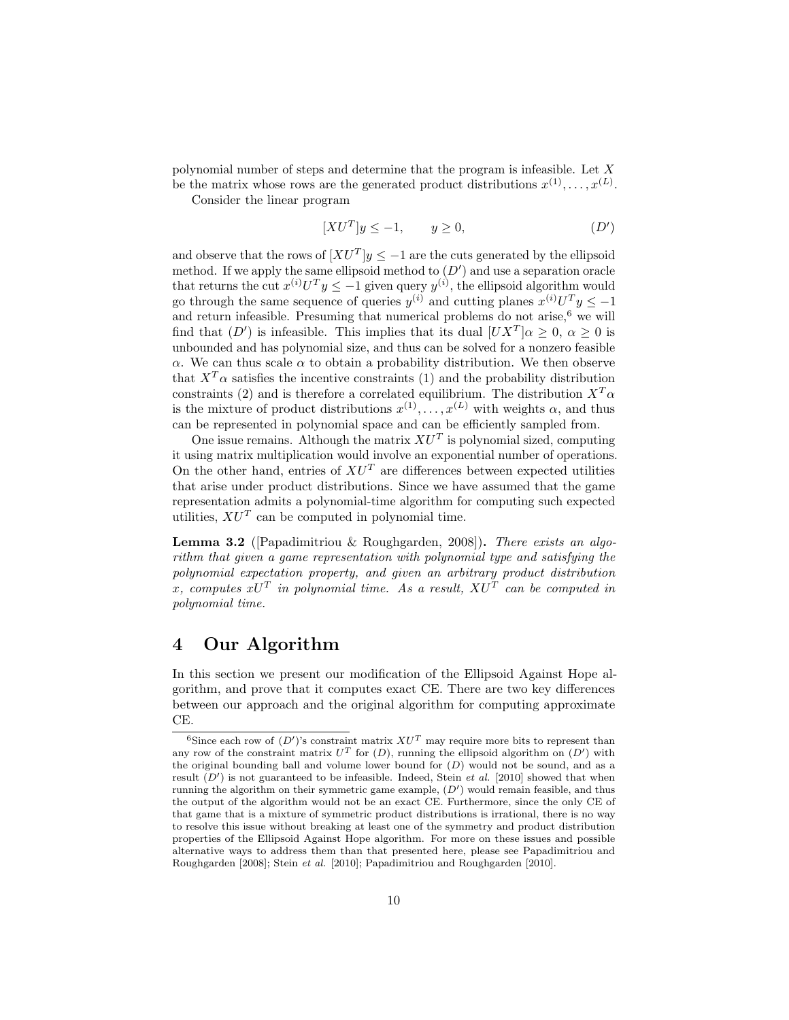polynomial number of steps and determine that the program is infeasible. Let X be the matrix whose rows are the generated product distributions  $x^{(1)}, \ldots, x^{(L)}$ .

Consider the linear program

<span id="page-9-0"></span>
$$
[XU^T]y \le -1, \qquad y \ge 0,\tag{D'}
$$

and observe that the rows of  $[XU^T]y \leq -1$  are the cuts generated by the ellipsoid method. If we apply the same ellipsoid method to  $(D')$  $(D')$  $(D')$  and use a separation oracle that returns the cut  $x^{(i)}U^Ty \leq -1$  given query  $y^{(i)}$ , the ellipsoid algorithm would go through the same sequence of queries  $y^{(i)}$  and cutting planes  $x^{(i)}U^{T}y \leq -1$ and return infeasible. Presuming that numerical problems do not arise,<sup>[6](#page-9-2)</sup> we will find that  $(D')$  $(D')$  $(D')$  is infeasible. This implies that its dual  $[UX^T] \alpha \geq 0$ ,  $\alpha \geq 0$  is unbounded and has polynomial size, and thus can be solved for a nonzero feasible α. We can thus scale α to obtain a probability distribution. We then observe that  $X^T \alpha$  satisfies the incentive constraints [\(1\)](#page-7-0) and the probability distribution constraints [\(2\)](#page-7-1) and is therefore a correlated equilibrium. The distribution  $X^T\alpha$ is the mixture of product distributions  $x^{(1)}, \ldots, x^{(L)}$  with weights  $\alpha$ , and thus can be represented in polynomial space and can be efficiently sampled from.

One issue remains. Although the matrix  $XU<sup>T</sup>$  is polynomial sized, computing it using matrix multiplication would involve an exponential number of operations. On the other hand, entries of  $XU<sup>T</sup>$  are differences between expected utilities that arise under product distributions. Since we have assumed that the game representation admits a polynomial-time algorithm for computing such expected utilities,  $XU^T$  can be computed in polynomial time.

<span id="page-9-3"></span>Lemma 3.2 ([Papadimitriou & Roughgarden, 2008]). There exists an algorithm that given a game representation with polynomial type and satisfying the polynomial expectation property, and given an arbitrary product distribution x, computes  $xU^T$  in polynomial time. As a result,  $XU^T$  can be computed in polynomial time.

### <span id="page-9-1"></span>4 Our Algorithm

In this section we present our modification of the Ellipsoid Against Hope algorithm, and prove that it computes exact CE. There are two key differences between our approach and the original algorithm for computing approximate CE.

<span id="page-9-2"></span><sup>&</sup>lt;sup>6</sup>Since each row of  $(D')$  $(D')$  $(D')$ 's constraint matrix  $XU<sup>T</sup>$  may require more bits to represent than any row of the constraint matrix  $U^T$  for  $(D)$  $(D)$  $(D)$ , running the ellipsoid algorithm on  $(D')$  with the original bounding ball and volume lower bound for  $(D)$  $(D)$  $(D)$  would not be sound, and as a result  $(D')$  $(D')$  $(D')$  is not guaranteed to be infeasible. Indeed, Stein *et al.* [2010] showed that when running the algorithm on their symmetric game example,  $(D')$  $(D')$  $(D')$  would remain feasible, and thus the output of the algorithm would not be an exact CE. Furthermore, since the only CE of that game that is a mixture of symmetric product distributions is irrational, there is no way to resolve this issue without breaking at least one of the symmetry and product distribution properties of the Ellipsoid Against Hope algorithm. For more on these issues and possible alternative ways to address them than that presented here, please see Papadimitriou and Roughgarden [2008]; Stein et al. [2010]; Papadimitriou and Roughgarden [2010].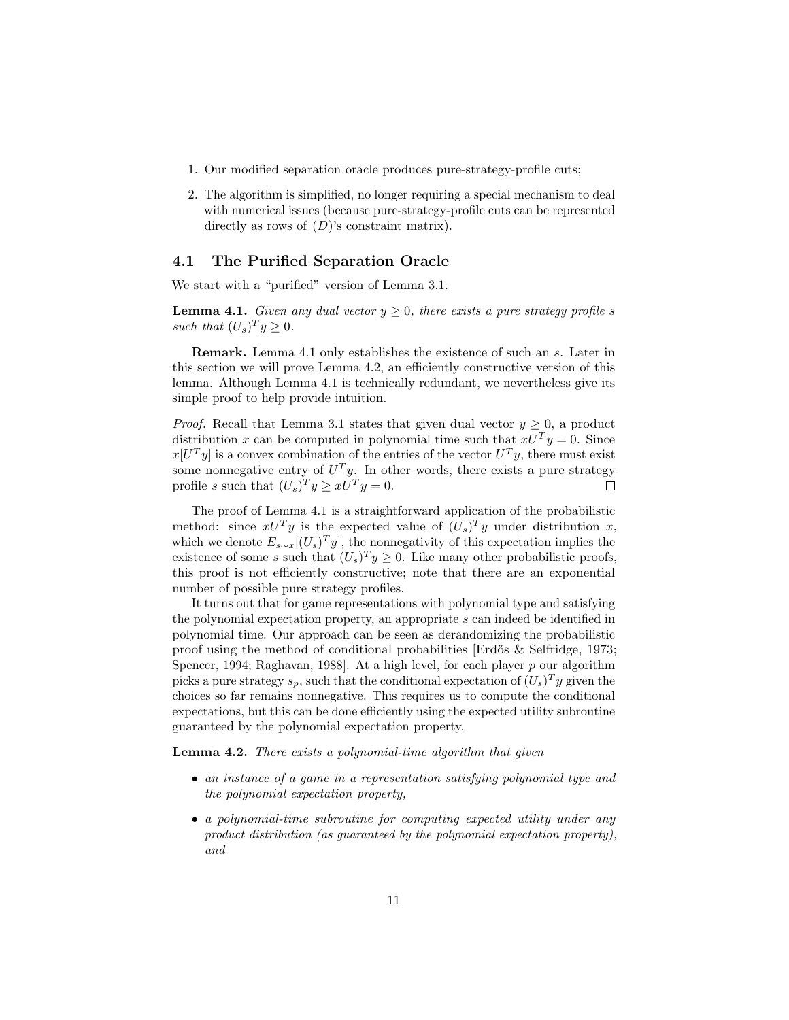- 1. Our modified separation oracle produces pure-strategy-profile cuts;
- 2. The algorithm is simplified, no longer requiring a special mechanism to deal with numerical issues (because pure-strategy-profile cuts can be represented directly as rows of  $(D)$  $(D)$  $(D)$ 's constraint matrix).

#### <span id="page-10-2"></span>4.1 The Purified Separation Oracle

We start with a "purified" version of Lemma [3.1.](#page-8-2)

<span id="page-10-0"></span>**Lemma 4.1.** Given any dual vector  $y \ge 0$ , there exists a pure strategy profile s such that  $(U_s)^T y \geq 0$ .

Remark. Lemma [4.1](#page-10-0) only establishes the existence of such an s. Later in this section we will prove Lemma [4.2,](#page-10-1) an efficiently constructive version of this lemma. Although Lemma [4.1](#page-10-0) is technically redundant, we nevertheless give its simple proof to help provide intuition.

*Proof.* Recall that Lemma [3.1](#page-8-2) states that given dual vector  $y \geq 0$ , a product distribution x can be computed in polynomial time such that  $xU<sup>T</sup>y = 0$ . Since  $x[U^Ty]$  is a convex combination of the entries of the vector  $U^Ty$ , there must exist some nonnegative entry of  $U<sup>T</sup>y$ . In other words, there exists a pure strategy profile s such that  $(U_s)^T y \geq xU^T y = 0$ .

The proof of Lemma [4.1](#page-10-0) is a straightforward application of the probabilistic method: since  $xU^Ty$  is the expected value of  $(U_s)^Ty$  under distribution x, which we denote  $E_{s \sim x}[(U_s)^T y]$ , the nonnegativity of this expectation implies the existence of some s such that  $(U_s)^T y \geq 0$ . Like many other probabilistic proofs, this proof is not efficiently constructive; note that there are an exponential number of possible pure strategy profiles.

It turns out that for game representations with polynomial type and satisfying the polynomial expectation property, an appropriate s can indeed be identified in polynomial time. Our approach can be seen as derandomizing the probabilistic proof using the method of conditional probabilities [Erdős  $&$  Selfridge, 1973; Spencer, 1994; Raghavan, 1988]. At a high level, for each player  $p$  our algorithm picks a pure strategy  $s_p$ , such that the conditional expectation of  $(U_s)^T y$  given the choices so far remains nonnegative. This requires us to compute the conditional expectations, but this can be done efficiently using the expected utility subroutine guaranteed by the polynomial expectation property.

<span id="page-10-1"></span>Lemma 4.2. There exists a polynomial-time algorithm that given

- an instance of a game in a representation satisfying polynomial type and the polynomial expectation property,
- a polynomial-time subroutine for computing expected utility under any product distribution (as guaranteed by the polynomial expectation property), and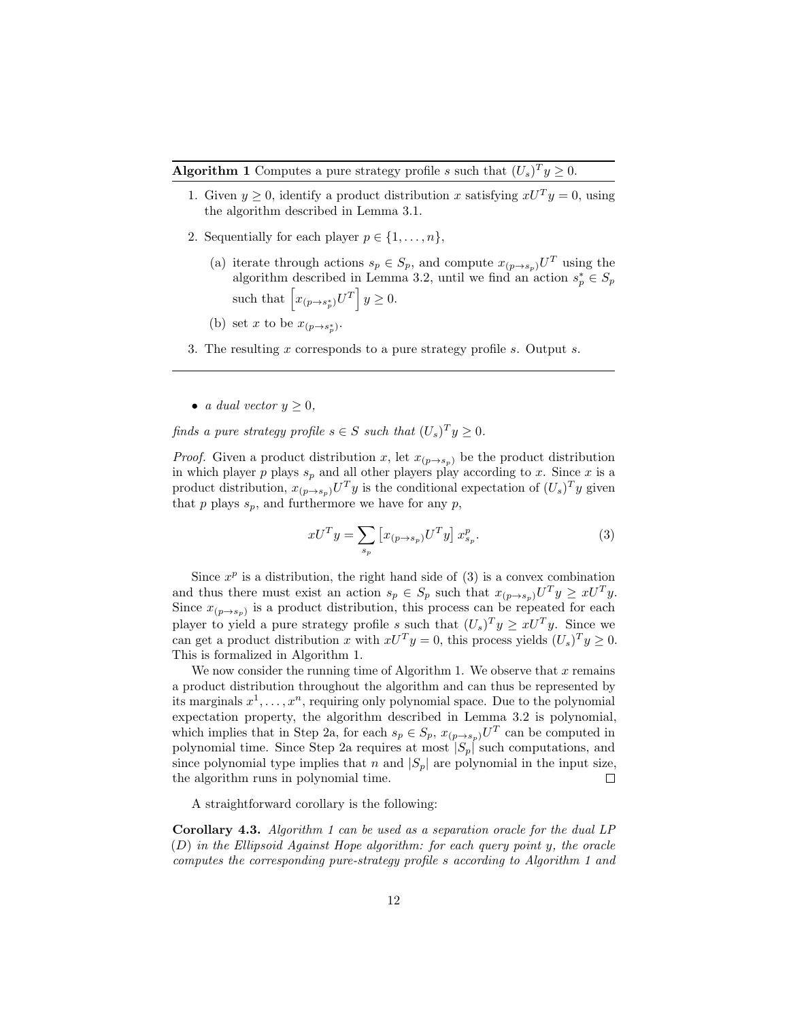- <span id="page-11-1"></span>1. Given  $y \geq 0$ , identify a product distribution x satisfying  $xU^Ty = 0$ , using the algorithm described in Lemma [3.1.](#page-8-2)
- <span id="page-11-2"></span>2. Sequentially for each player  $p \in \{1, \ldots, n\}$ ,
	- (a) iterate through actions  $s_p \in S_p$ , and compute  $x_{(p\rightarrow s_p)}U^T$  using the algorithm described in Lemma [3.2,](#page-9-3) until we find an action  $s_p^* \in S_p$ such that  $\left[x_{(p\rightarrow s_p^*)}U^T\right]y\geq 0.$
	- (b) set x to be  $x_{(p\rightarrow s_p^*)}$ .
- 3. The resulting x corresponds to a pure strategy profile s. Output s.
- a dual vector  $y \geq 0$ ,

finds a pure strategy profile  $s \in S$  such that  $(U_s)^T y \geq 0$ .

*Proof.* Given a product distribution x, let  $x_{(p\rightarrow s_p)}$  be the product distribution in which player p plays  $s_p$  and all other players play according to x. Since x is a product distribution,  $x_{(p\to s_p)}U^Ty$  is the conditional expectation of  $(U_s)^Ty$  given that p plays  $s_p$ , and furthermore we have for any p,

<span id="page-11-0"></span>
$$
xU^T y = \sum_{s_p} \left[ x_{(p \to s_p)} U^T y \right] x_{s_p}^p. \tag{3}
$$

Since  $x^p$  is a distribution, the right hand side of  $(3)$  is a convex combination and thus there must exist an action  $s_p \in S_p$  such that  $x_{(p\to s_p)}U^T y \geq xU^T y$ . Since  $x_{(p\rightarrow s_p)}$  is a product distribution, this process can be repeated for each player to yield a pure strategy profile s such that  $(U_s)^T y \geq xU^T y$ . Since we can get a product distribution x with  $xU^Ty = 0$ , this process yields  $(U_s)^Ty \ge 0$ . This is formalized in Algorithm [1.](#page-11-1)

We now consider the running time of Algorithm [1.](#page-11-1) We observe that  $x$  remains a product distribution throughout the algorithm and can thus be represented by its marginals  $x^1, \ldots, x^n$ , requiring only polynomial space. Due to the polynomial expectation property, the algorithm described in Lemma [3.2](#page-9-3) is polynomial, which implies that in Step [2a,](#page-11-2) for each  $s_p \in S_p$ ,  $x_{(p \to s_p)}U^T$  can be computed in polynomial time. Since Step [2a](#page-11-2) requires at most  $|S_p|$  such computations, and since polynomial type implies that n and  $|S_p|$  are polynomial in the input size, the algorithm runs in polynomial time.  $\Box$ 

A straightforward corollary is the following:

Corollary 4.3. Algorithm [1](#page-11-1) can be used as a separation oracle for the dual LP  $(D)$  $(D)$  $(D)$  in the Ellipsoid Against Hope algorithm: for each query point y, the oracle computes the corresponding pure-strategy profile s according to Algorithm [1](#page-11-1) and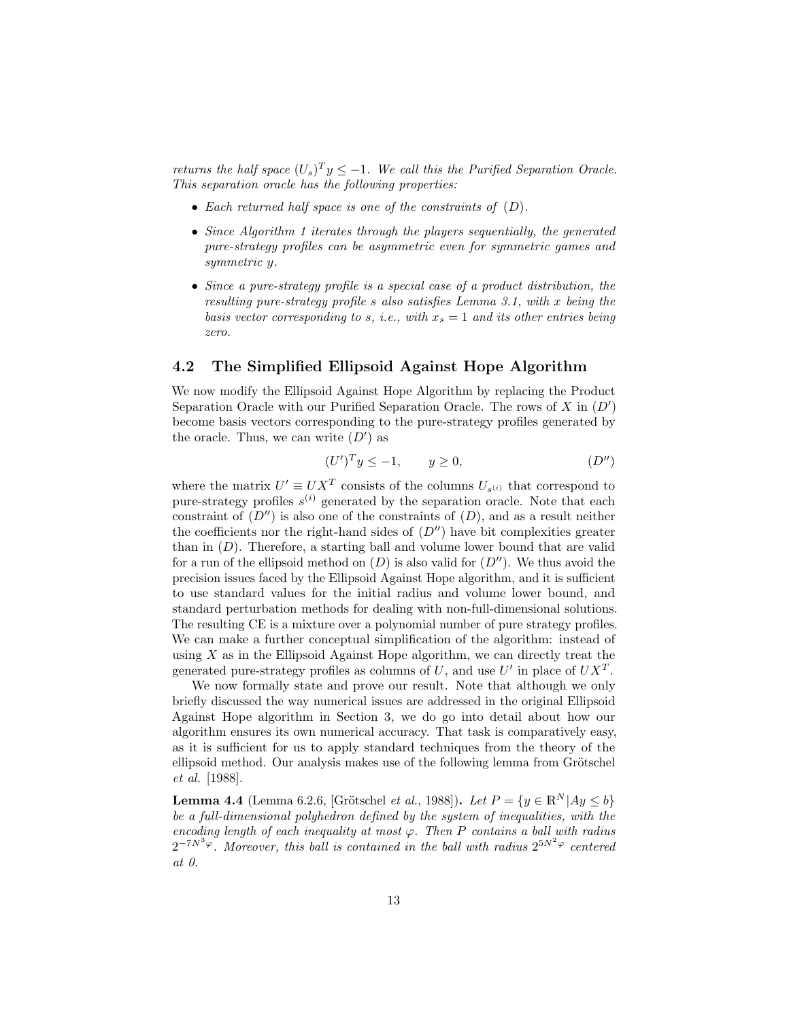returns the half space  $(U_s)^T y \leq -1$ . We call this the Purified Separation Oracle. This separation oracle has the following properties:

- Each returned half space is one of the constraints of  $(D)$  $(D)$  $(D)$ .
- Since Algorithm [1](#page-11-1) iterates through the players sequentially, the generated pure-strategy profiles can be asymmetric even for symmetric games and symmetric y.
- Since a pure-strategy profile is a special case of a product distribution, the resulting pure-strategy profile s also satisfies Lemma [3.1,](#page-8-2) with x being the basis vector corresponding to s, i.e., with  $x_s = 1$  and its other entries being zero.

#### 4.2 The Simplified Ellipsoid Against Hope Algorithm

We now modify the Ellipsoid Against Hope Algorithm by replacing the Product Separation Oracle with our Purified Separation Oracle. The rows of  $X$  in  $(D')$  $(D')$  $(D')$ become basis vectors corresponding to the pure-strategy profiles generated by the oracle. Thus, we can write  $(D')$  $(D')$  $(D')$  as

<span id="page-12-0"></span>
$$
(U')^T y \le -1, \qquad y \ge 0,\tag{D''}
$$

where the matrix  $U' \equiv U X^T$  consists of the columns  $U_{s^{(i)}}$  that correspond to pure-strategy profiles  $s^{(i)}$  generated by the separation oracle. Note that each constraint of  $(D'')$  $(D'')$  $(D'')$  is also one of the constraints of  $(D)$ , and as a result neither the coefficients nor the right-hand sides of  $(D'')$  $(D'')$  $(D'')$  have bit complexities greater than in  $(D)$  $(D)$  $(D)$ . Therefore, a starting ball and volume lower bound that are valid for a run of the ellipsoid method on  $(D)$  $(D)$  $(D)$  is also valid for  $(D'')$ . We thus avoid the precision issues faced by the Ellipsoid Against Hope algorithm, and it is sufficient to use standard values for the initial radius and volume lower bound, and standard perturbation methods for dealing with non-full-dimensional solutions. The resulting CE is a mixture over a polynomial number of pure strategy profiles. We can make a further conceptual simplification of the algorithm: instead of using  $X$  as in the Ellipsoid Against Hope algorithm, we can directly treat the generated pure-strategy profiles as columns of U, and use U' in place of  $UX<sup>T</sup>$ .

We now formally state and prove our result. Note that although we only briefly discussed the way numerical issues are addressed in the original Ellipsoid Against Hope algorithm in Section [3,](#page-8-0) we do go into detail about how our algorithm ensures its own numerical accuracy. That task is comparatively easy, as it is sufficient for us to apply standard techniques from the theory of the ellipsoid method. Our analysis makes use of the following lemma from Grötschel et al. [1988].

<span id="page-12-1"></span>**Lemma 4.4** (Lemma 6.2.6, [Grötschel *et al.*, 1988]). Let  $P = \{y \in \mathbb{R}^N | Ay \le b\}$ be a full-dimensional polyhedron defined by the system of inequalities, with the encoding length of each inequality at most  $\varphi$ . Then P contains a ball with radius  $2^{-7N^3\varphi}$ . Moreover, this ball is contained in the ball with radius  $2^{5N^2\varphi}$  centered at 0.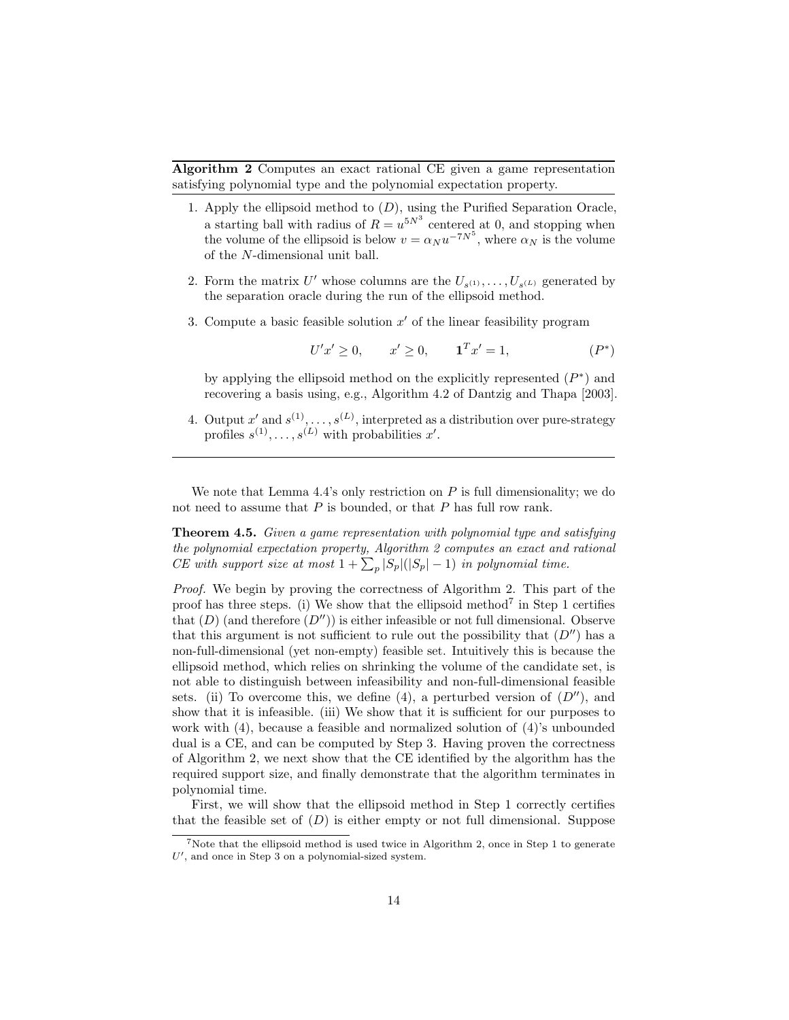Algorithm 2 Computes an exact rational CE given a game representation satisfying polynomial type and the polynomial expectation property.

- <span id="page-13-0"></span>1. Apply the ellipsoid method to  $(D)$  $(D)$  $(D)$ , using the Purified Separation Oracle, a starting ball with radius of  $R = u^{5N^3}$  centered at 0, and stopping when the volume of the ellipsoid is below  $v = \alpha_N u^{-7N^5}$ , where  $\alpha_N$  is the volume of the N-dimensional unit ball.
- 2. Form the matrix U' whose columns are the  $U_{s^{(1)}}, \ldots, U_{s^{(L)}}$  generated by the separation oracle during the run of the ellipsoid method.
- 3. Compute a basic feasible solution  $x'$  of the linear feasibility program

$$
U'x' \ge 0, \qquad x' \ge 0, \qquad \mathbf{1}^T x' = 1,\tag{P^*}
$$

by applying the ellipsoid method on the explicitly represented  $(P^*)$  $(P^*)$  $(P^*)$  and recovering a basis using, e.g., Algorithm 4.2 of Dantzig and Thapa [2003].

4. Output  $x'$  and  $s^{(1)}, \ldots, s^{(L)}$ , interpreted as a distribution over pure-strategy profiles  $s^{(1)}, \ldots, s^{(L)}$  with probabilities  $x'$ .

We note that Lemma  $4.4$ 's only restriction on  $P$  is full dimensionality; we do not need to assume that  $P$  is bounded, or that  $P$  has full row rank.

Theorem 4.5. Given a game representation with polynomial type and satisfying the polynomial expectation property, Algorithm [2](#page-13-0) computes an exact and rational CE with support size at most  $1 + \sum_{p} |S_p|(|S_p| - 1)$  in polynomial time.

Proof. We begin by proving the correctness of Algorithm [2.](#page-13-0) This part of the proof has three steps. (i) We show that the ellipsoid method<sup>[7](#page-13-1)</sup> in Step 1 certifies that  $(D)$  $(D)$  $(D)$  (and therefore  $(D'')$ ) is either infeasible or not full dimensional. Observe that this argument is not sufficient to rule out the possibility that  $(D'')$  $(D'')$  $(D'')$  has a non-full-dimensional (yet non-empty) feasible set. Intuitively this is because the ellipsoid method, which relies on shrinking the volume of the candidate set, is not able to distinguish between infeasibility and non-full-dimensional feasible sets. (ii) To overcome this, we define [\(4\)](#page-12-0), a perturbed version of  $(D'')$  $(D'')$  $(D'')$ , and show that it is infeasible. (iii) We show that it is sufficient for our purposes to work with [\(4\)](#page-12-0), because a feasible and normalized solution of [\(4\)](#page-12-0)'s unbounded dual is a CE, and can be computed by Step 3. Having proven the correctness of Algorithm [2,](#page-13-0) we next show that the CE identified by the algorithm has the required support size, and finally demonstrate that the algorithm terminates in polynomial time.

First, we will show that the ellipsoid method in Step 1 correctly certifies that the feasible set of  $(D)$  $(D)$  $(D)$  is either empty or not full dimensional. Suppose

<span id="page-13-1"></span><sup>7</sup>Note that the ellipsoid method is used twice in Algorithm [2,](#page-13-0) once in Step 1 to generate  $U'$ , and once in Step 3 on a polynomial-sized system.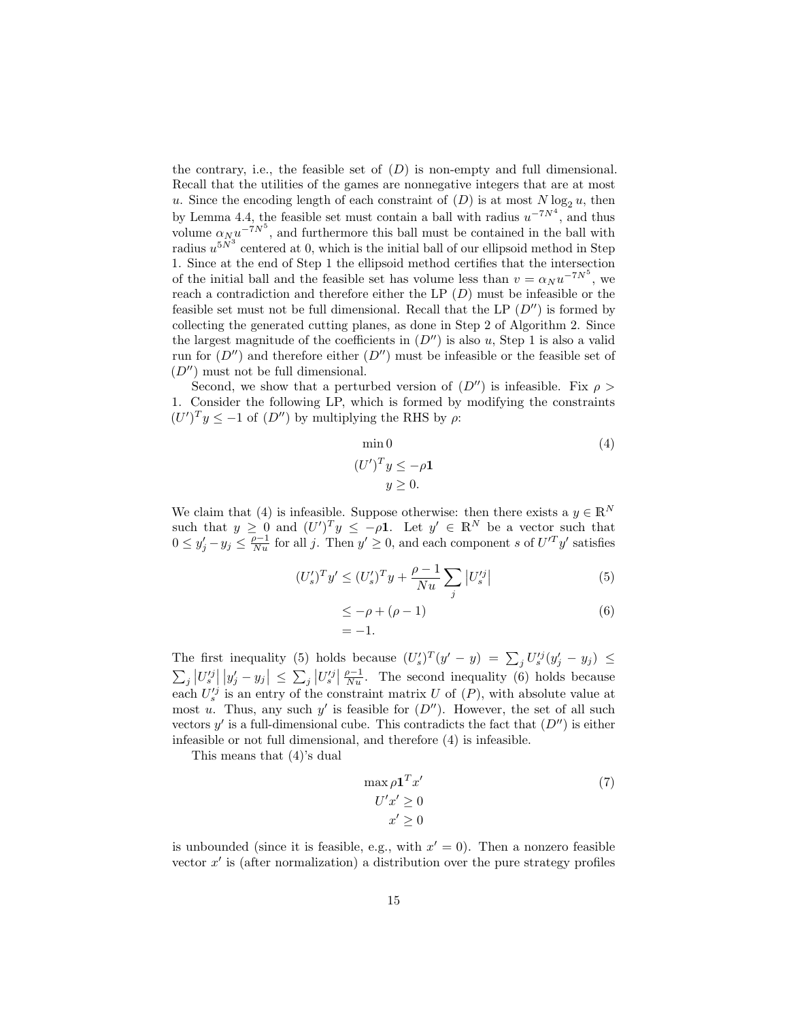the contrary, i.e., the feasible set of  $(D)$  $(D)$  $(D)$  is non-empty and full dimensional. Recall that the utilities of the games are nonnegative integers that are at most u. Since the encoding length of each constraint of  $(D)$  $(D)$  $(D)$  is at most  $N \log_2 u$ , then by Lemma [4.4,](#page-12-1) the feasible set must contain a ball with radius  $u^{-7N^4}$ , and thus volume  $\alpha_N u^{-7N^5}$ , and furthermore this ball must be contained in the ball with radius  $u^{5N^3}$  centered at 0, which is the initial ball of our ellipsoid method in Step 1. Since at the end of Step 1 the ellipsoid method certifies that the intersection of the initial ball and the feasible set has volume less than  $v = \alpha_N u^{-7N^5}$ , we reach a contradiction and therefore either the LP  $(D)$  $(D)$  $(D)$  must be infeasible or the feasible set must not be full dimensional. Recall that the LP  $(D'')$  $(D'')$  $(D'')$  is formed by collecting the generated cutting planes, as done in Step 2 of Algorithm [2.](#page-13-0) Since the largest magnitude of the coefficients in  $(D'')$  $(D'')$  $(D'')$  is also u, Step 1 is also a valid run for  $(D'')$  $(D'')$  $(D'')$  and therefore either  $(D'')$  must be infeasible or the feasible set of  $(D'')$  $(D'')$  $(D'')$  must not be full dimensional.

Second, we show that a perturbed version of  $(D'')$  $(D'')$  $(D'')$  is infeasible. Fix  $\rho >$ 1. Consider the following LP, which is formed by modifying the constraints  $(U')^T y \leq -1$  of  $(D'')$  $(D'')$  $(D'')$  by multiplying the RHS by  $\rho$ :

$$
\min 0
$$
\n
$$
(U')^T y \le -\rho \mathbf{1}
$$
\n
$$
y \ge 0.
$$
\n
$$
(4)
$$

We claim that [\(4\)](#page-12-0) is infeasible. Suppose otherwise: then there exists a  $y \in \mathbb{R}^N$ such that  $y \geq 0$  and  $(U')^T y \leq -\rho \mathbf{1}$ . Let  $y' \in \mathbb{R}^N$  be a vector such that  $0 \le y'_j - y_j \le \frac{\rho-1}{Nu}$  for all j. Then  $y' \ge 0$ , and each component s of  $U'^{T}y'$  satisfies

$$
(U_s')^T y' \le (U_s')^T y + \frac{\rho - 1}{Nu} \sum_j |U_s'^j|
$$
\n(5)

<span id="page-14-2"></span><span id="page-14-1"></span>
$$
\leq -\rho + (\rho - 1) \tag{6}
$$

$$
= -1.
$$

The first inequality [\(5\)](#page-14-1) holds because  $(U'_s)^T(y'-y) = \sum_j U'^j_s(y'_j - y_j) \leq$  $\sum_j |U_s^{ij}| |y_j'-y_j| \leq \sum_j |U_s^{ij}| \frac{\rho-1}{Nu}$ . The second inequality [\(6\)](#page-14-2) holds because each  $U_s^{ij}$  is an entry of the constraint matrix U of  $(P)$  $(P)$  $(P)$ , with absolute value at most u. Thus, any such  $y'$  is feasible for  $(D'')$  $(D'')$  $(D'')$ . However, the set of all such vectors  $y'$  is a full-dimensional cube. This contradicts the fact that  $(D'')$  $(D'')$  $(D'')$  is either infeasible or not full dimensional, and therefore [\(4\)](#page-12-0) is infeasible.

This means that [\(4\)](#page-12-0)'s dual

<span id="page-14-0"></span>
$$
\max \rho \mathbf{1}^T x' \nU'x' \ge 0 \nx' \ge 0
$$
\n(7)

is unbounded (since it is feasible, e.g., with  $x' = 0$ ). Then a nonzero feasible vector  $x'$  is (after normalization) a distribution over the pure strategy profiles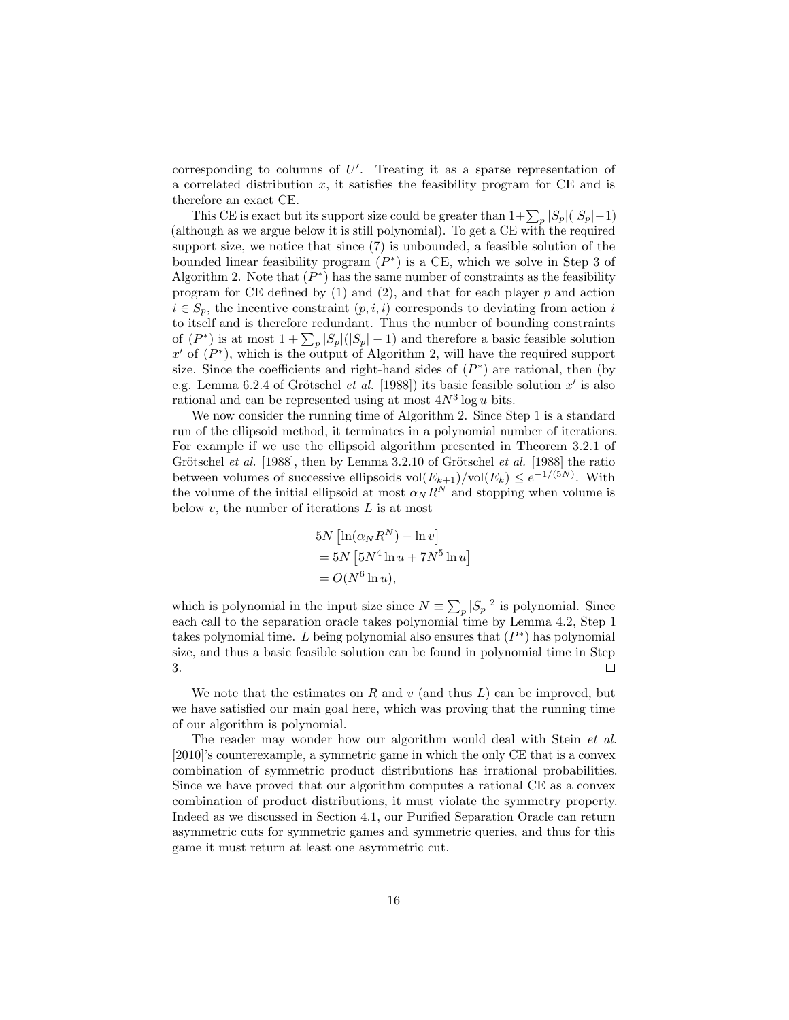corresponding to columns of  $U'$ . Treating it as a sparse representation of a correlated distribution  $x$ , it satisfies the feasibility program for CE and is therefore an exact CE.

This CE is exact but its support size could be greater than  $1+\sum_{p} |S_p|(|S_p|-1)$ (although as we argue below it is still polynomial). To get a CE with the required support size, we notice that since [\(7\)](#page-14-0) is unbounded, a feasible solution of the bounded linear feasibility program  $(P^*)$  $(P^*)$  $(P^*)$  is a CE, which we solve in Step 3 of Algorithm [2.](#page-13-0) Note that  $(P^*)$  $(P^*)$  $(P^*)$  has the same number of constraints as the feasibility program for CE defined by  $(1)$  and  $(2)$ , and that for each player p and action  $i \in S_p$ , the incentive constraint  $(p, i, i)$  corresponds to deviating from action i to itself and is therefore redundant. Thus the number of bounding constraints of  $(P^*)$  $(P^*)$  $(P^*)$  is at most  $1 + \sum_p |S_p|(|S_p| - 1)$  and therefore a basic feasible solution x' of  $(P^*)$  $(P^*)$  $(P^*)$ , which is the output of Algorithm [2,](#page-13-0) will have the required support size. Since the coefficients and right-hand sides of  $(P^*)$  $(P^*)$  $(P^*)$  are rational, then (by e.g. Lemma 6.2.4 of Grötschel et al. [1988]) its basic feasible solution  $x'$  is also rational and can be represented using at most  $4N^3 \log u$  bits.

We now consider the running time of Algorithm [2.](#page-13-0) Since Step 1 is a standard run of the ellipsoid method, it terminates in a polynomial number of iterations. For example if we use the ellipsoid algorithm presented in Theorem 3.2.1 of Grötschel et al. [1988], then by Lemma 3.2.10 of Grötschel et al. [1988] the ratio between volumes of successive ellipsoids  $vol(E_{k+1})/vol(E_k) \leq e^{-1/(5N)}$ . With the volume of the initial ellipsoid at most  $\alpha_N R^N$  and stopping when volume is below  $v$ , the number of iterations  $L$  is at most

$$
5N \left[ \ln(\alpha_N R^N) - \ln v \right]
$$
  
= 
$$
5N \left[ 5N^4 \ln u + 7N^5 \ln u \right]
$$
  
= 
$$
O(N^6 \ln u),
$$

which is polynomial in the input size since  $N \equiv \sum_{p} |S_p|^2$  is polynomial. Since each call to the separation oracle takes polynomial time by Lemma [4.2,](#page-10-1) Step 1 takes polynomial time. L being polynomial also ensures that  $(P^*)$  $(P^*)$  $(P^*)$  has polynomial size, and thus a basic feasible solution can be found in polynomial time in Step 3.  $\Box$ 

We note that the estimates on R and  $v$  (and thus L) can be improved, but we have satisfied our main goal here, which was proving that the running time of our algorithm is polynomial.

The reader may wonder how our algorithm would deal with Stein *et al.* [2010]'s counterexample, a symmetric game in which the only CE that is a convex combination of symmetric product distributions has irrational probabilities. Since we have proved that our algorithm computes a rational CE as a convex combination of product distributions, it must violate the symmetry property. Indeed as we discussed in Section [4.1,](#page-10-2) our Purified Separation Oracle can return asymmetric cuts for symmetric games and symmetric queries, and thus for this game it must return at least one asymmetric cut.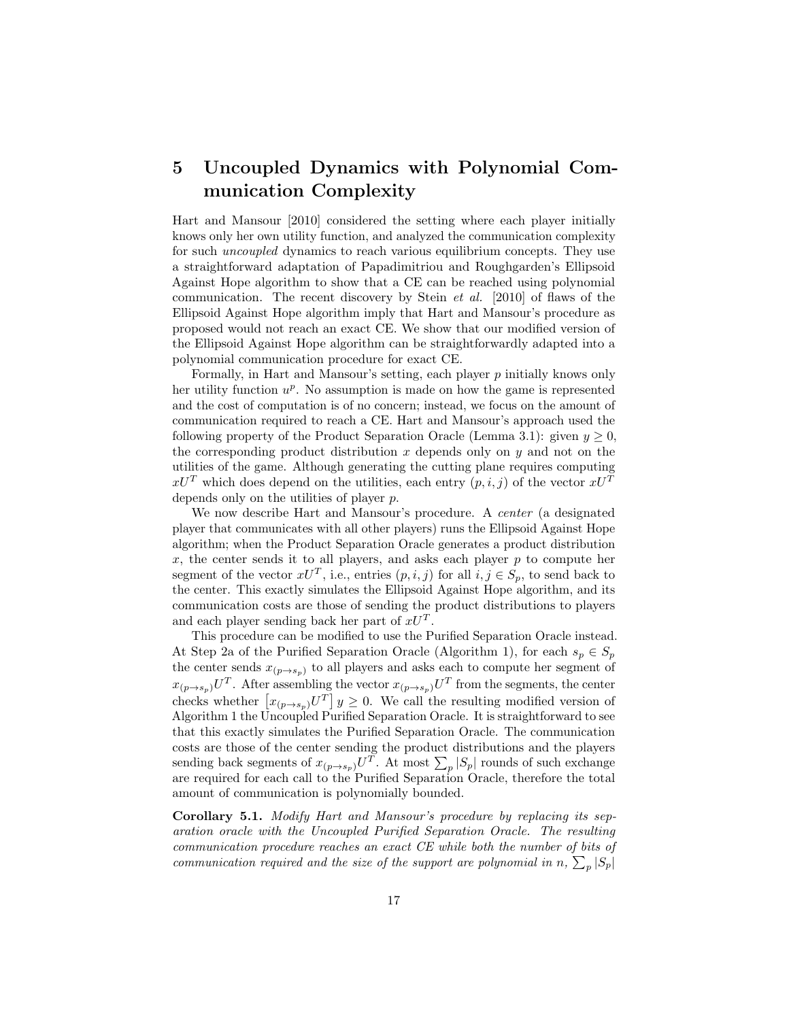## <span id="page-16-0"></span>5 Uncoupled Dynamics with Polynomial Communication Complexity

Hart and Mansour [2010] considered the setting where each player initially knows only her own utility function, and analyzed the communication complexity for such uncoupled dynamics to reach various equilibrium concepts. They use a straightforward adaptation of Papadimitriou and Roughgarden's Ellipsoid Against Hope algorithm to show that a CE can be reached using polynomial communication. The recent discovery by Stein et al. [2010] of flaws of the Ellipsoid Against Hope algorithm imply that Hart and Mansour's procedure as proposed would not reach an exact CE. We show that our modified version of the Ellipsoid Against Hope algorithm can be straightforwardly adapted into a polynomial communication procedure for exact CE.

Formally, in Hart and Mansour's setting, each player  $p$  initially knows only her utility function  $u^p$ . No assumption is made on how the game is represented and the cost of computation is of no concern; instead, we focus on the amount of communication required to reach a CE. Hart and Mansour's approach used the following property of the Product Separation Oracle (Lemma [3.1\)](#page-8-2): given  $y \ge 0$ , the corresponding product distribution x depends only on  $y$  and not on the utilities of the game. Although generating the cutting plane requires computing  $xU<sup>T</sup>$  which does depend on the utilities, each entry  $(p, i, j)$  of the vector  $xU<sup>T</sup>$ depends only on the utilities of player p.

We now describe Hart and Mansour's procedure. A center (a designated player that communicates with all other players) runs the Ellipsoid Against Hope algorithm; when the Product Separation Oracle generates a product distribution  $x$ , the center sends it to all players, and asks each player  $p$  to compute her segment of the vector  $xU^T$ , i.e., entries  $(p, i, j)$  for all  $i, j \in S_p$ , to send back to the center. This exactly simulates the Ellipsoid Against Hope algorithm, and its communication costs are those of sending the product distributions to players and each player sending back her part of  $xU<sup>T</sup>$ .

This procedure can be modified to use the Purified Separation Oracle instead. At Step [2a](#page-11-2) of the Purified Separation Oracle (Algorithm [1\)](#page-11-1), for each  $s_p \in S_p$ the center sends  $x_{(p\rightarrow s_p)}$  to all players and asks each to compute her segment of  $x_{(p\to s_p)}U^T$ . After assembling the vector  $x_{(p\to s_p)}U^T$  from the segments, the center checks whether  $[x_{(p\rightarrow s_p)}U^T]y \geq 0$ . We call the resulting modified version of Algorithm [1](#page-11-1) the Uncoupled Purified Separation Oracle. It is straightforward to see that this exactly simulates the Purified Separation Oracle. The communication costs are those of the center sending the product distributions and the players sending back segments of  $x_{(p\rightarrow s_p)}U^T$ . At most  $\sum_p |S_p|$  rounds of such exchange are required for each call to the Purified Separation Oracle, therefore the total amount of communication is polynomially bounded.

Corollary 5.1. Modify Hart and Mansour's procedure by replacing its separation oracle with the Uncoupled Purified Separation Oracle. The resulting communication procedure reaches an exact CE while both the number of bits of communication required and the size of the support are polynomial in n,  $\sum_{p} |S_p|$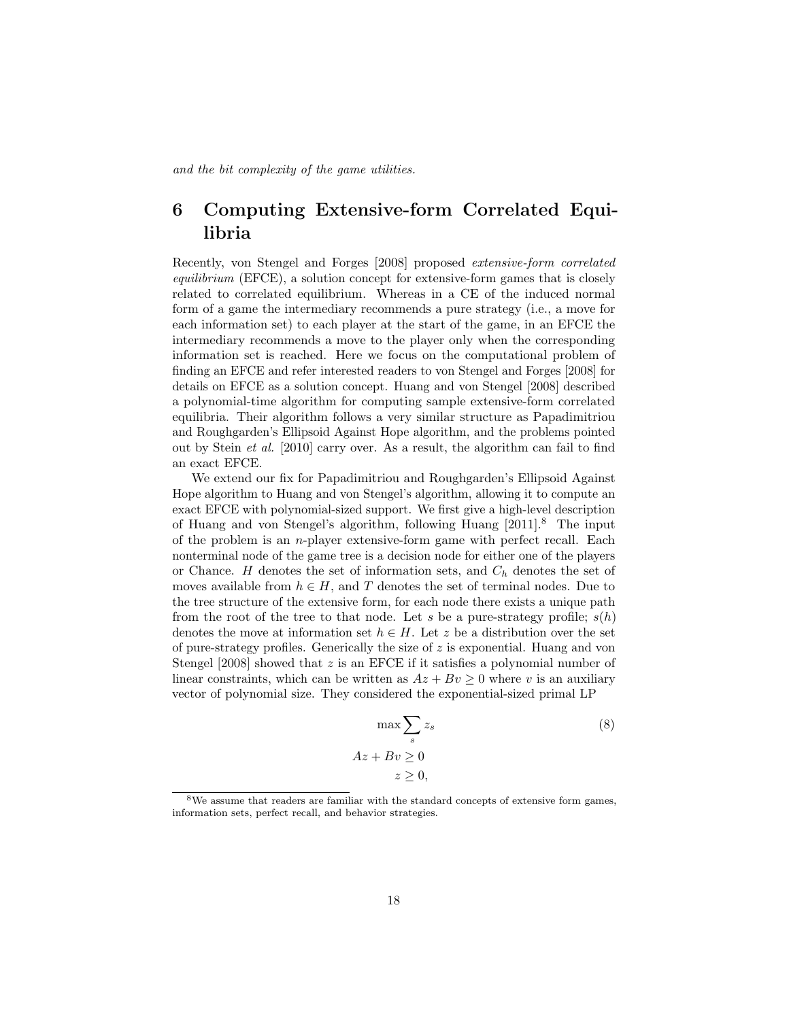### <span id="page-17-0"></span>6 Computing Extensive-form Correlated Equilibria

Recently, von Stengel and Forges [2008] proposed extensive-form correlated equilibrium (EFCE), a solution concept for extensive-form games that is closely related to correlated equilibrium. Whereas in a CE of the induced normal form of a game the intermediary recommends a pure strategy (i.e., a move for each information set) to each player at the start of the game, in an EFCE the intermediary recommends a move to the player only when the corresponding information set is reached. Here we focus on the computational problem of finding an EFCE and refer interested readers to von Stengel and Forges [2008] for details on EFCE as a solution concept. Huang and von Stengel [2008] described a polynomial-time algorithm for computing sample extensive-form correlated equilibria. Their algorithm follows a very similar structure as Papadimitriou and Roughgarden's Ellipsoid Against Hope algorithm, and the problems pointed out by Stein et al. [2010] carry over. As a result, the algorithm can fail to find an exact EFCE.

We extend our fix for Papadimitriou and Roughgarden's Ellipsoid Against Hope algorithm to Huang and von Stengel's algorithm, allowing it to compute an exact EFCE with polynomial-sized support. We first give a high-level description of Huang and von Stengel's algorithm, following Huang [2011].[8](#page-17-1) The input of the problem is an *n*-player extensive-form game with perfect recall. Each nonterminal node of the game tree is a decision node for either one of the players or Chance. H denotes the set of information sets, and  $C_h$  denotes the set of moves available from  $h \in H$ , and T denotes the set of terminal nodes. Due to the tree structure of the extensive form, for each node there exists a unique path from the root of the tree to that node. Let s be a pure-strategy profile;  $s(h)$ denotes the move at information set  $h \in H$ . Let z be a distribution over the set of pure-strategy profiles. Generically the size of  $z$  is exponential. Huang and von Stengel [2008] showed that z is an EFCE if it satisfies a polynomial number of linear constraints, which can be written as  $Az + Bv \geq 0$  where v is an auxiliary vector of polynomial size. They considered the exponential-sized primal LP

<span id="page-17-2"></span>
$$
\max \sum_{s} z_s
$$
  

$$
Az + Bv \ge 0
$$
  

$$
z \ge 0,
$$
 (8)

<span id="page-17-1"></span> $8\text{We assume that readers are familiar with the standard concepts of extensive form games,}$ information sets, perfect recall, and behavior strategies.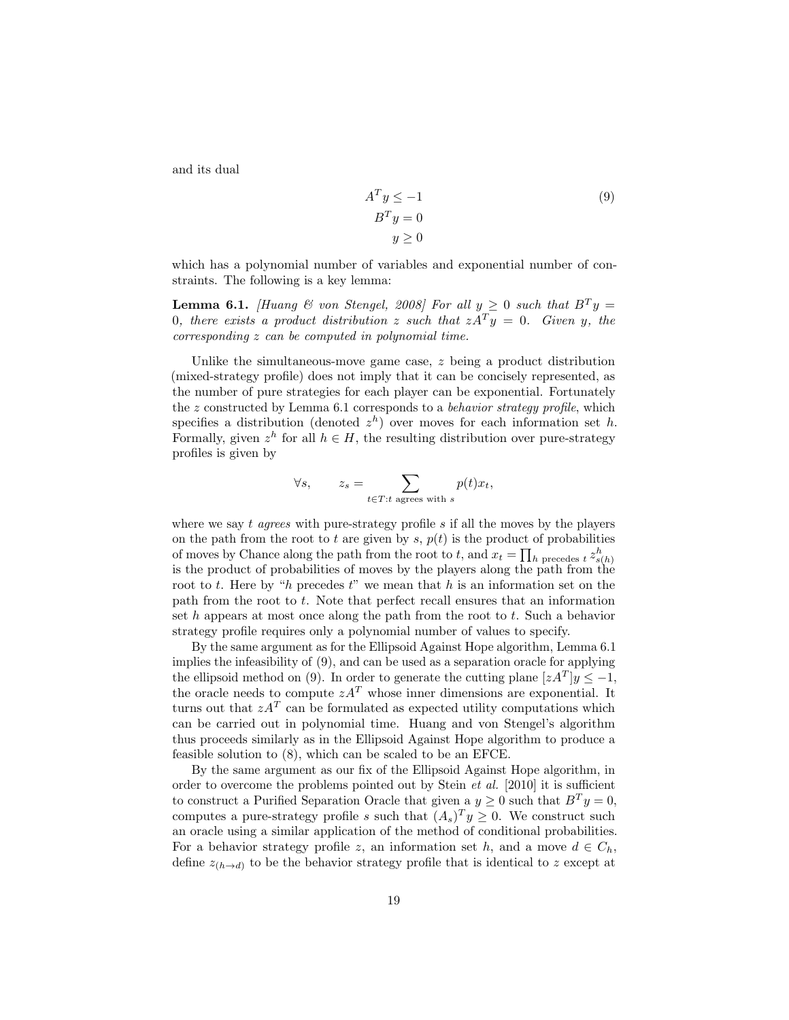and its dual

<span id="page-18-1"></span>
$$
AT y \le -1
$$
  
\n
$$
BT y = 0
$$
  
\n
$$
y \ge 0
$$
\n(9)

which has a polynomial number of variables and exponential number of constraints. The following is a key lemma:

<span id="page-18-0"></span>**Lemma 6.1.** [Huang & von Stengel, 2008] For all  $y \ge 0$  such that  $B^T y =$ 0, there exists a product distribution z such that  $zA<sup>T</sup>y = 0$ . Given y, the corresponding z can be computed in polynomial time.

Unlike the simultaneous-move game case, z being a product distribution (mixed-strategy profile) does not imply that it can be concisely represented, as the number of pure strategies for each player can be exponential. Fortunately the z constructed by Lemma [6.1](#page-18-0) corresponds to a *behavior strategy profile*, which specifies a distribution (denoted  $z^h$ ) over moves for each information set h. Formally, given  $z^h$  for all  $h \in H$ , the resulting distribution over pure-strategy profiles is given by

$$
\forall s, \qquad z_s = \sum_{t \in T : t \text{ agrees with } s} p(t)x_t,
$$

where we say t *agrees* with pure-strategy profile s if all the moves by the players on the path from the root to t are given by s,  $p(t)$  is the product of probabilities of moves by Chance along the path from the root to t, and  $x_t = \prod_{h \text{ precedes } t} z_{s(h)}^h$ is the product of probabilities of moves by the players along the path from the root to t. Here by "h precedes  $t$ " we mean that h is an information set on the path from the root to t. Note that perfect recall ensures that an information set  $h$  appears at most once along the path from the root to  $t$ . Such a behavior strategy profile requires only a polynomial number of values to specify.

By the same argument as for the Ellipsoid Against Hope algorithm, Lemma [6.1](#page-18-0) implies the infeasibility of [\(9\)](#page-18-1), and can be used as a separation oracle for applying the ellipsoid method on [\(9\)](#page-18-1). In order to generate the cutting plane  $[zA<sup>T</sup>]y \le -1$ , the oracle needs to compute  $zA<sup>T</sup>$  whose inner dimensions are exponential. It turns out that  $zA<sup>T</sup>$  can be formulated as expected utility computations which can be carried out in polynomial time. Huang and von Stengel's algorithm thus proceeds similarly as in the Ellipsoid Against Hope algorithm to produce a feasible solution to [\(8\)](#page-17-2), which can be scaled to be an EFCE.

By the same argument as our fix of the Ellipsoid Against Hope algorithm, in order to overcome the problems pointed out by Stein  $et \ al.$  [2010] it is sufficient to construct a Purified Separation Oracle that given a  $y \ge 0$  such that  $B^T y = 0$ , computes a pure-strategy profile s such that  $(A_s)^T y \geq 0$ . We construct such an oracle using a similar application of the method of conditional probabilities. For a behavior strategy profile z, an information set h, and a move  $d \in C_h$ , define  $z_{(h\to d)}$  to be the behavior strategy profile that is identical to z except at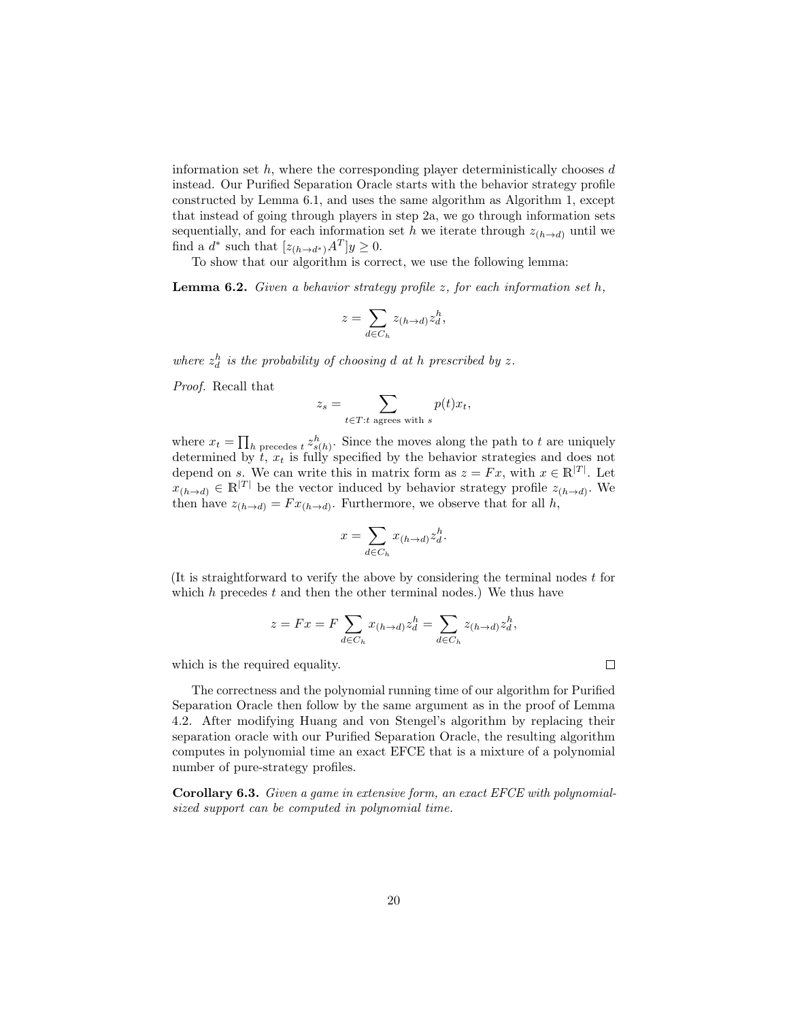information set  $h$ , where the corresponding player deterministically chooses  $d$ instead. Our Purified Separation Oracle starts with the behavior strategy profile constructed by Lemma [6.1,](#page-18-0) and uses the same algorithm as Algorithm [1,](#page-11-1) except that instead of going through players in step [2a,](#page-11-2) we go through information sets sequentially, and for each information set h we iterate through  $z_{(h\rightarrow d)}$  until we find a  $d^*$  such that  $[z_{(h\rightarrow d^*)}A^T]y \geq 0$ .

To show that our algorithm is correct, we use the following lemma:

**Lemma 6.2.** Given a behavior strategy profile z, for each information set  $h$ ,

$$
z = \sum_{d \in C_h} z_{(h \to d)} z_d^h,
$$

where  $z_d^h$  is the probability of choosing d at h prescribed by z.

Proof. Recall that

$$
z_s = \sum_{t \in T:t \text{ agrees with } s} p(t)x_t,
$$

where  $x_t = \prod_{h \text{ precedes } t} z_{s(h)}^h$ . Since the moves along the path to t are uniquely determined by  $t, x_t$  is fully specified by the behavior strategies and does not depend on s. We can write this in matrix form as  $z = Fx$ , with  $x \in \mathbb{R}^{|T|}$ . Let  $x_{(h\to d)} \in \mathbb{R}^{|T|}$  be the vector induced by behavior strategy profile  $z_{(h\to d)}$ . We then have  $z_{(h\to d)} = Fx_{(h\to d)}$ . Furthermore, we observe that for all h,

$$
x = \sum_{d \in C_h} x_{(h \to d)} z_d^h.
$$

(It is straightforward to verify the above by considering the terminal nodes t for which  $h$  precedes  $t$  and then the other terminal nodes.) We thus have

$$
z = Fx = F \sum_{d \in C_h} x_{(h \to d)} z_d^h = \sum_{d \in C_h} z_{(h \to d)} z_d^h,
$$

 $\Box$ 

which is the required equality.

The correctness and the polynomial running time of our algorithm for Purified Separation Oracle then follow by the same argument as in the proof of Lemma [4.2.](#page-10-1) After modifying Huang and von Stengel's algorithm by replacing their separation oracle with our Purified Separation Oracle, the resulting algorithm computes in polynomial time an exact EFCE that is a mixture of a polynomial number of pure-strategy profiles.

Corollary 6.3. Given a game in extensive form, an exact EFCE with polynomialsized support can be computed in polynomial time.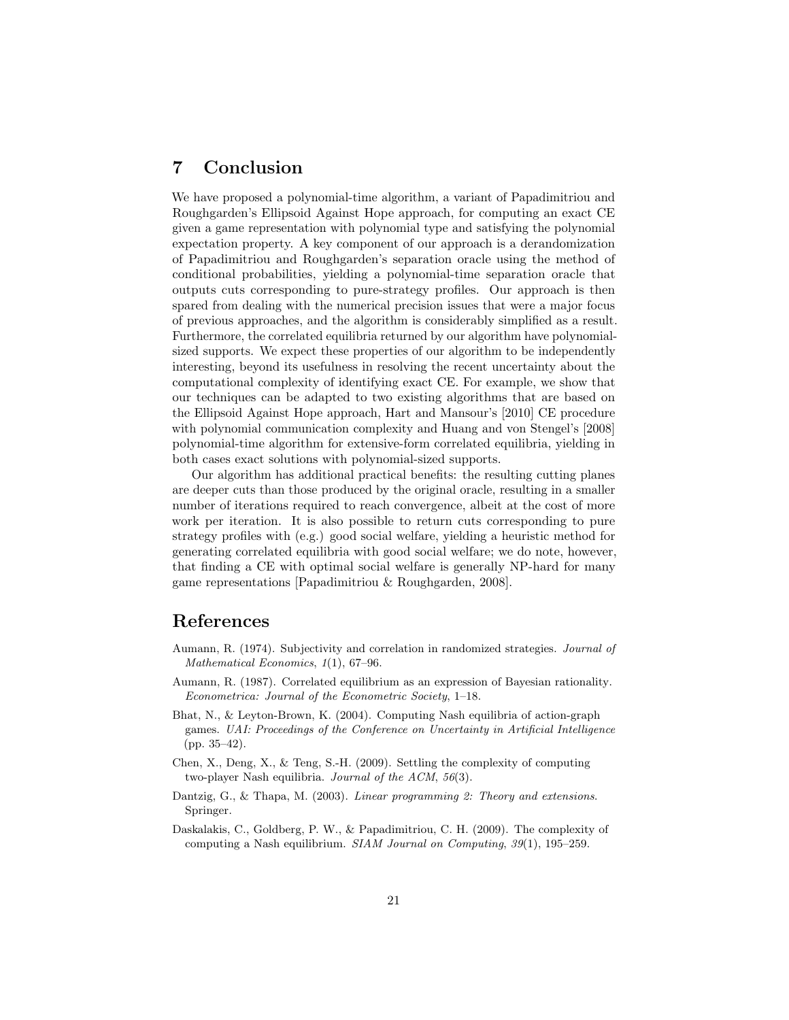### <span id="page-20-0"></span>7 Conclusion

We have proposed a polynomial-time algorithm, a variant of Papadimitriou and Roughgarden's Ellipsoid Against Hope approach, for computing an exact CE given a game representation with polynomial type and satisfying the polynomial expectation property. A key component of our approach is a derandomization of Papadimitriou and Roughgarden's separation oracle using the method of conditional probabilities, yielding a polynomial-time separation oracle that outputs cuts corresponding to pure-strategy profiles. Our approach is then spared from dealing with the numerical precision issues that were a major focus of previous approaches, and the algorithm is considerably simplified as a result. Furthermore, the correlated equilibria returned by our algorithm have polynomialsized supports. We expect these properties of our algorithm to be independently interesting, beyond its usefulness in resolving the recent uncertainty about the computational complexity of identifying exact CE. For example, we show that our techniques can be adapted to two existing algorithms that are based on the Ellipsoid Against Hope approach, Hart and Mansour's [2010] CE procedure with polynomial communication complexity and Huang and von Stengel's [2008] polynomial-time algorithm for extensive-form correlated equilibria, yielding in both cases exact solutions with polynomial-sized supports.

Our algorithm has additional practical benefits: the resulting cutting planes are deeper cuts than those produced by the original oracle, resulting in a smaller number of iterations required to reach convergence, albeit at the cost of more work per iteration. It is also possible to return cuts corresponding to pure strategy profiles with (e.g.) good social welfare, yielding a heuristic method for generating correlated equilibria with good social welfare; we do note, however, that finding a CE with optimal social welfare is generally NP-hard for many game representations [Papadimitriou & Roughgarden, 2008].

#### References

- Aumann, R. (1974). Subjectivity and correlation in randomized strategies. Journal of Mathematical Economics, 1(1), 67–96.
- Aumann, R. (1987). Correlated equilibrium as an expression of Bayesian rationality. Econometrica: Journal of the Econometric Society, 1–18.
- Bhat, N., & Leyton-Brown, K. (2004). Computing Nash equilibria of action-graph games. UAI: Proceedings of the Conference on Uncertainty in Artificial Intelligence (pp. 35–42).
- Chen, X., Deng, X., & Teng, S.-H. (2009). Settling the complexity of computing two-player Nash equilibria. Journal of the ACM, 56(3).
- Dantzig, G., & Thapa, M. (2003). *Linear programming 2: Theory and extensions*. Springer.
- Daskalakis, C., Goldberg, P. W., & Papadimitriou, C. H. (2009). The complexity of computing a Nash equilibrium. SIAM Journal on Computing, 39(1), 195–259.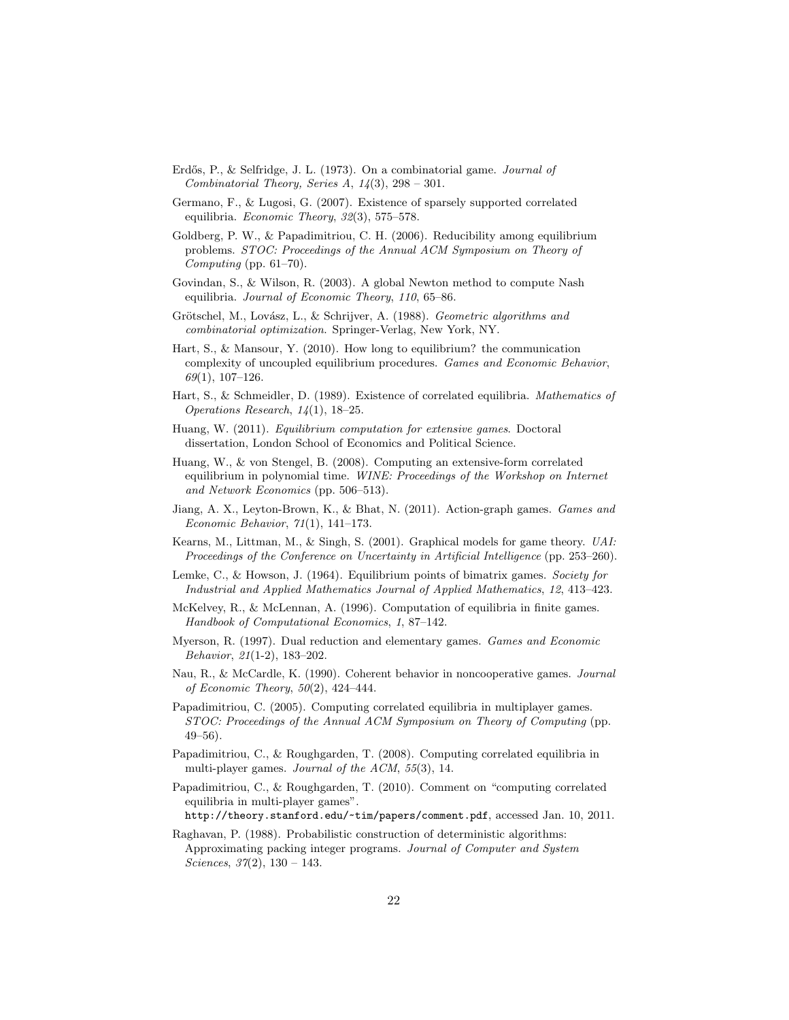- Erdős, P., & Selfridge, J. L. (1973). On a combinatorial game. *Journal of* Combinatorial Theory, Series A,  $14(3)$ ,  $298 - 301$ .
- Germano, F., & Lugosi, G. (2007). Existence of sparsely supported correlated equilibria. Economic Theory, 32(3), 575–578.
- Goldberg, P. W., & Papadimitriou, C. H. (2006). Reducibility among equilibrium problems. STOC: Proceedings of the Annual ACM Symposium on Theory of Computing (pp. 61–70).
- Govindan, S., & Wilson, R. (2003). A global Newton method to compute Nash equilibria. Journal of Economic Theory, 110, 65–86.
- Grötschel, M., Lovász, L., & Schrijver, A. (1988). Geometric algorithms and combinatorial optimization. Springer-Verlag, New York, NY.
- Hart, S., & Mansour, Y. (2010). How long to equilibrium? the communication complexity of uncoupled equilibrium procedures. Games and Economic Behavior, 69(1), 107–126.
- Hart, S., & Schmeidler, D. (1989). Existence of correlated equilibria. Mathematics of Operations Research, 14(1), 18–25.
- Huang, W. (2011). Equilibrium computation for extensive games. Doctoral dissertation, London School of Economics and Political Science.
- Huang, W., & von Stengel, B. (2008). Computing an extensive-form correlated equilibrium in polynomial time. WINE: Proceedings of the Workshop on Internet and Network Economics (pp. 506–513).
- Jiang, A. X., Leyton-Brown, K., & Bhat, N. (2011). Action-graph games. Games and Economic Behavior, 71(1), 141–173.
- Kearns, M., Littman, M., & Singh, S. (2001). Graphical models for game theory. UAI: Proceedings of the Conference on Uncertainty in Artificial Intelligence (pp. 253–260).
- Lemke, C., & Howson, J. (1964). Equilibrium points of bimatrix games. Society for Industrial and Applied Mathematics Journal of Applied Mathematics, 12, 413–423.
- McKelvey, R., & McLennan, A. (1996). Computation of equilibria in finite games. Handbook of Computational Economics, 1, 87–142.
- Myerson, R. (1997). Dual reduction and elementary games. Games and Economic Behavior, 21(1-2), 183–202.
- Nau, R., & McCardle, K. (1990). Coherent behavior in noncooperative games. Journal of Economic Theory, 50(2), 424–444.
- Papadimitriou, C. (2005). Computing correlated equilibria in multiplayer games. STOC: Proceedings of the Annual ACM Symposium on Theory of Computing (pp. 49–56).
- Papadimitriou, C., & Roughgarden, T. (2008). Computing correlated equilibria in multi-player games. *Journal of the ACM*, 55(3), 14.
- Papadimitriou, C., & Roughgarden, T. (2010). Comment on "computing correlated equilibria in multi-player games".
	- <http://theory.stanford.edu/~tim/papers/comment.pdf>, accessed Jan. 10, 2011.
- Raghavan, P. (1988). Probabilistic construction of deterministic algorithms: Approximating packing integer programs. Journal of Computer and System Sciences, 37(2), 130 – 143.